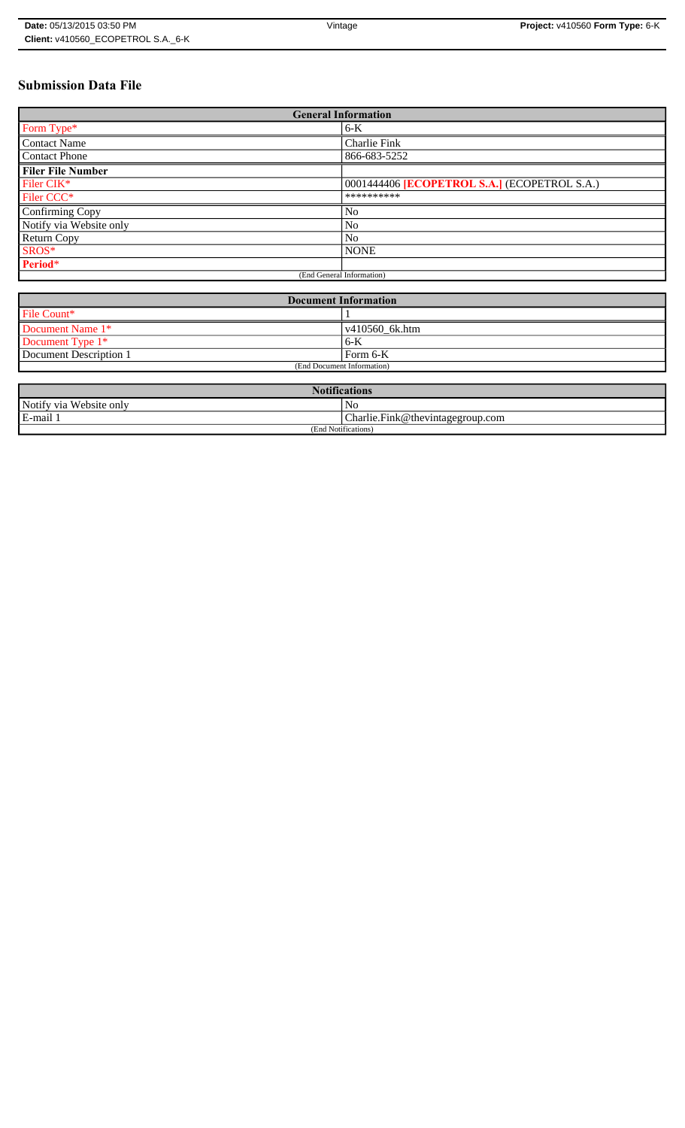# **Submission Data File**

| <b>General Information</b> |                                              |  |  |
|----------------------------|----------------------------------------------|--|--|
| Form Type*                 | $6-K$                                        |  |  |
| <b>Contact Name</b>        | Charlie Fink                                 |  |  |
| <b>Contact Phone</b>       | 866-683-5252                                 |  |  |
| <b>Filer File Number</b>   |                                              |  |  |
| Filer CIK*                 | 0001444406 [ECOPETROL S.A.] (ECOPETROL S.A.) |  |  |
| Filer CCC <sup>*</sup>     | **********                                   |  |  |
| Confirming Copy            | N <sub>o</sub>                               |  |  |
| Notify via Website only    | N <sub>o</sub>                               |  |  |
| <b>Return Copy</b>         | N <sub>o</sub>                               |  |  |
| SROS*                      | <b>NONE</b>                                  |  |  |
| Period*                    |                                              |  |  |
| (End General Information)  |                                              |  |  |

| <b>Document Information</b> |                        |  |
|-----------------------------|------------------------|--|
| File Count*                 |                        |  |
| Document Name 1*            | $\sqrt{410560}$ 6k.htm |  |
| Document Type 1*            | 6-K                    |  |
| Document Description 1      | l Form 6-K             |  |
| (End Document Information)  |                        |  |

| <b>Notifications</b>                         |                |  |  |
|----------------------------------------------|----------------|--|--|
| Notify via Website only                      | N <sub>0</sub> |  |  |
| E-mail 1<br>Charlie.Fink@thevintagegroup.com |                |  |  |
| (End Notifications)                          |                |  |  |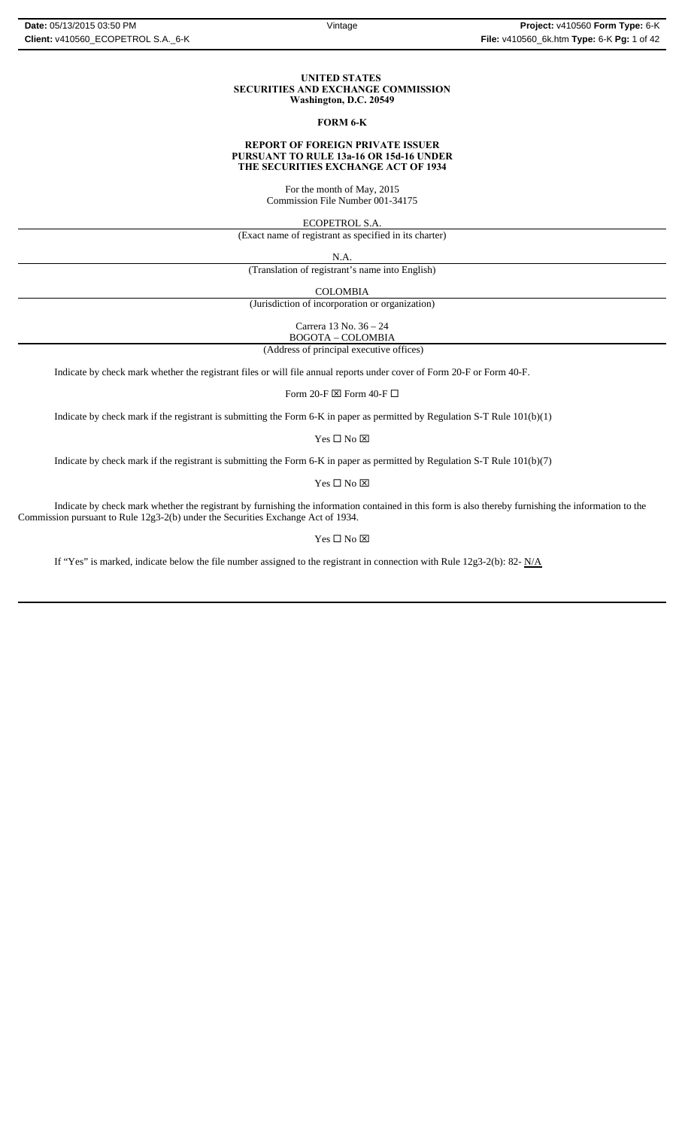#### **UNITED STATES SECURITIES AND EXCHANGE COMMISSION Washington, D.C. 20549**

### **FORM 6-K**

#### **REPORT OF FOREIGN PRIVATE ISSUER PURSUANT TO RULE 13a-16 OR 15d-16 UNDER THE SECURITIES EXCHANGE ACT OF 1934**

For the month of May, 2015 Commission File Number 001-34175

ECOPETROL S.A.

(Exact name of registrant as specified in its charter)

N.A.

(Translation of registrant's name into English)

COLOMBIA

(Jurisdiction of incorporation or organization)

Carrera 13 No. 36 – 24

BOGOTA – COLOMBIA

(Address of principal executive offices)

Indicate by check mark whether the registrant files or will file annual reports under cover of Form 20-F or Form 40-F.

Form 20-F  $\boxtimes$  Form 40-F  $\Box$ 

Indicate by check mark if the registrant is submitting the Form 6-K in paper as permitted by Regulation S-T Rule 101(b)(1)

Yes $\square$  No  $\square$ 

Indicate by check mark if the registrant is submitting the Form 6-K in paper as permitted by Regulation S-T Rule 101(b)(7)

Yes □ No ⊠

Indicate by check mark whether the registrant by furnishing the information contained in this form is also thereby furnishing the information to the Commission pursuant to Rule 12g3-2(b) under the Securities Exchange Act of 1934.

 $Yes \Box No \boxtimes$ 

If "Yes" is marked, indicate below the file number assigned to the registrant in connection with Rule 12g3-2(b): 82-  $N/A$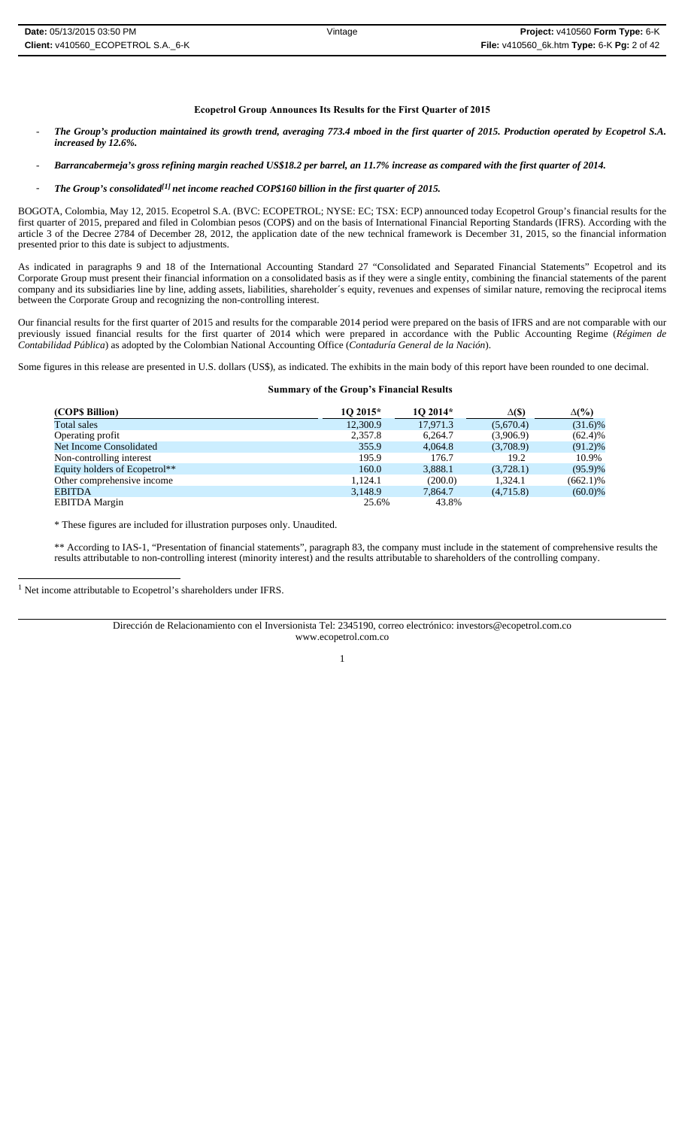### **Ecopetrol Group Announces Its Results for the First Quarter of 2015**

- *The Group's production maintained its growth trend, averaging 773.4 mboed in the first quarter of 2015. Production operated by Ecopetrol S.A. increased by 12.6%.*
- *Barrancabermeja's gross refining margin reached US\$18.2 per barrel, an 11.7% increase as compared with the first quarter of 2014.*
- The Group's consolidated<sup>[1]</sup> net income reached COP\$160 billion in the first quarter of 2015.

BOGOTA, Colombia, May 12, 2015. Ecopetrol S.A. (BVC: ECOPETROL; NYSE: EC; TSX: ECP) announced today Ecopetrol Group's financial results for the first quarter of 2015, prepared and filed in Colombian pesos (COP\$) and on the basis of International Financial Reporting Standards (IFRS). According with the article 3 of the Decree 2784 of December 28, 2012, the application date of the new technical framework is December 31, 2015, so the financial information presented prior to this date is subject to adjustments.

As indicated in paragraphs 9 and 18 of the International Accounting Standard 27 "Consolidated and Separated Financial Statements" Ecopetrol and its Corporate Group must present their financial information on a consolidated basis as if they were a single entity, combining the financial statements of the parent company and its subsidiaries line by line, adding assets, liabilities, shareholder´s equity, revenues and expenses of similar nature, removing the reciprocal items between the Corporate Group and recognizing the non-controlling interest.

Our financial results for the first quarter of 2015 and results for the comparable 2014 period were prepared on the basis of IFRS and are not comparable with our previously issued financial results for the first quarter of 2014 which were prepared in accordance with the Public Accounting Regime (*Régimen de Contabilidad Pública*) as adopted by the Colombian National Accounting Office (*Contaduría General de la Nación*).

Some figures in this release are presented in U.S. dollars (US\$), as indicated. The exhibits in the main body of this report have been rounded to one decimal.

#### **Summary of the Group's Financial Results**

| (COP\$ Billion)               | 10 2015* | $102014*$ | $\Delta(S)$ | $\Delta(\%)$ |
|-------------------------------|----------|-----------|-------------|--------------|
| Total sales                   | 12,300.9 | 17.971.3  | (5,670.4)   | $(31.6)\%$   |
| Operating profit              | 2,357.8  | 6.264.7   | (3,906.9)   | $(62.4)\%$   |
| Net Income Consolidated       | 355.9    | 4.064.8   | (3,708.9)   | $(91.2)\%$   |
| Non-controlling interest      | 195.9    | 176.7     | 19.2        | 10.9%        |
| Equity holders of Ecopetrol** | 160.0    | 3,888.1   | (3,728.1)   | $(95.9)\%$   |
| Other comprehensive income    | 1.124.1  | (200.0)   | 1.324.1     | $(662.1)\%$  |
| EBITDA                        | 3,148.9  | 7,864.7   | (4,715.8)   | $(60.0)\%$   |
| <b>EBITDA</b> Margin          | 25.6%    | 43.8%     |             |              |

\* These figures are included for illustration purposes only. Unaudited.

\*\* According to IAS-1, "Presentation of financial statements", paragraph 83, the company must include in the statement of comprehensive results the results attributable to non-controlling interest (minority interest) and the results attributable to shareholders of the controlling company.

<sup>1</sup> Net income attributable to Ecopetrol's shareholders under IFRS.

Dirección de Relacionamiento con el Inversionista Tel: 2345190, correo electrónico: investors@ecopetrol.com.co www.ecopetrol.com.co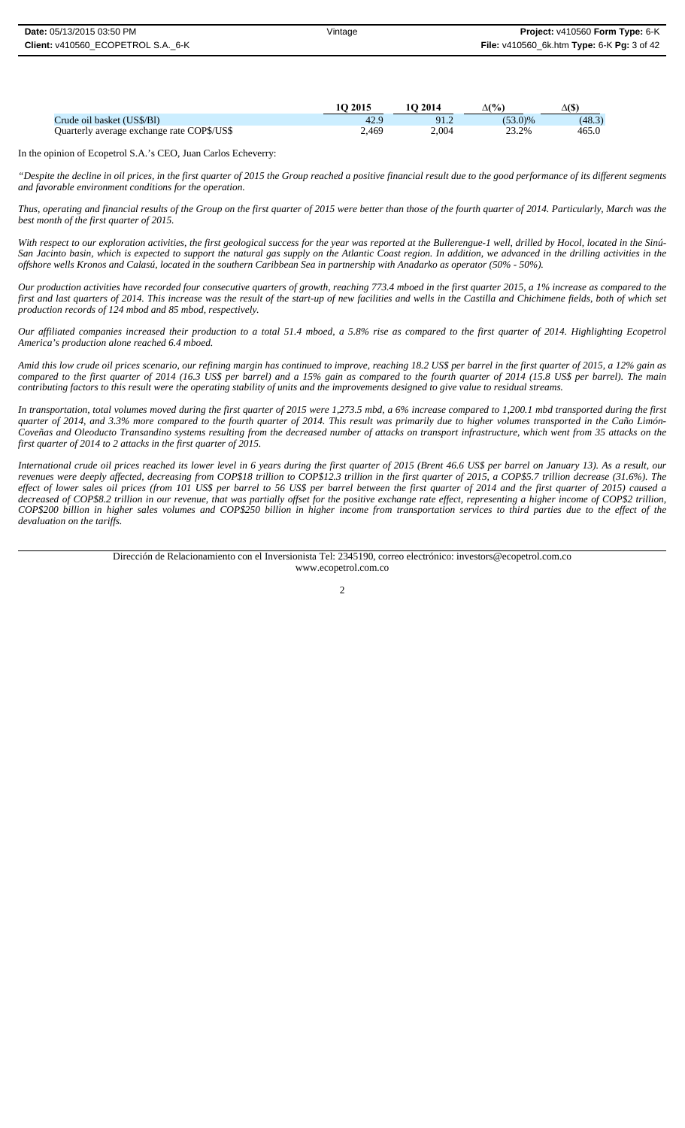|                                            | <b>1O 2015</b> | 10 2014 | $\Delta(\%)$ | Δſ\$`  |
|--------------------------------------------|----------------|---------|--------------|--------|
| Crude oil basket (US\$/BI)                 | 42.9           | 91.2    | $(53.0)\%$   | (48.3) |
| Quarterly average exchange rate COP\$/US\$ | 2,469          | 2.004   | 23.2%        | 465.0  |

In the opinion of Ecopetrol S.A.'s CEO, Juan Carlos Echeverry:

*"Despite the decline in oil prices, in the first quarter of 2015 the Group reached a positive financial result due to the good performance of its different segments and favorable environment conditions for the operation.* 

*Thus, operating and financial results of the Group on the first quarter of 2015 were better than those of the fourth quarter of 2014. Particularly, March was the best month of the first quarter of 2015.* 

*With respect to our exploration activities, the first geological success for the year was reported at the Bullerengue-1 well, drilled by Hocol, located in the Sinú-San Jacinto basin, which is expected to support the natural gas supply on the Atlantic Coast region. In addition, we advanced in the drilling activities in the offshore wells Kronos and Calasú, located in the southern Caribbean Sea in partnership with Anadarko as operator (50% - 50%).*

*Our production activities have recorded four consecutive quarters of growth, reaching 773.4 mboed in the first quarter 2015, a 1% increase as compared to the first and last quarters of 2014. This increase was the result of the start-up of new facilities and wells in the Castilla and Chichimene fields, both of which set production records of 124 mbod and 85 mbod, respectively.*

*Our affiliated companies increased their production to a total 51.4 mboed, a 5.8% rise as compared to the first quarter of 2014. Highlighting Ecopetrol America's production alone reached 6.4 mboed.*

*Amid this low crude oil prices scenario, our refining margin has continued to improve, reaching 18.2 US\$ per barrel in the first quarter of 2015, a 12% gain as compared to the first quarter of 2014 (16.3 US\$ per barrel) and a 15% gain as compared to the fourth quarter of 2014 (15.8 US\$ per barrel). The main contributing factors to this result were the operating stability of units and the improvements designed to give value to residual streams.*

*In transportation, total volumes moved during the first quarter of 2015 were 1,273.5 mbd, a 6% increase compared to 1,200.1 mbd transported during the first quarter of 2014, and 3.3% more compared to the fourth quarter of 2014. This result was primarily due to higher volumes transported in the Caño Limón-Coveñas and Oleoducto Transandino systems resulting from the decreased number of attacks on transport infrastructure, which went from 35 attacks on the first quarter of 2014 to 2 attacks in the first quarter of 2015.* 

*International crude oil prices reached its lower level in 6 years during the first quarter of 2015 (Brent 46.6 US\$ per barrel on January 13). As a result, our revenues were deeply affected, decreasing from COP\$18 trillion to COP\$12.3 trillion in the first quarter of 2015, a COP\$5.7 trillion decrease (31.6%). The effect of lower sales oil prices (from 101 US\$ per barrel to 56 US\$ per barrel between the first quarter of 2014 and the first quarter of 2015) caused a decreased of COP\$8.2 trillion in our revenue, that was partially offset for the positive exchange rate effect, representing a higher income of COP\$2 trillion, COP\$200 billion in higher sales volumes and COP\$250 billion in higher income from transportation services to third parties due to the effect of the devaluation on the tariffs.* 

> Dirección de Relacionamiento con el Inversionista Tel: 2345190, correo electrónico: investors@ecopetrol.com.co www.ecopetrol.com.co

> > $\mathfrak{D}$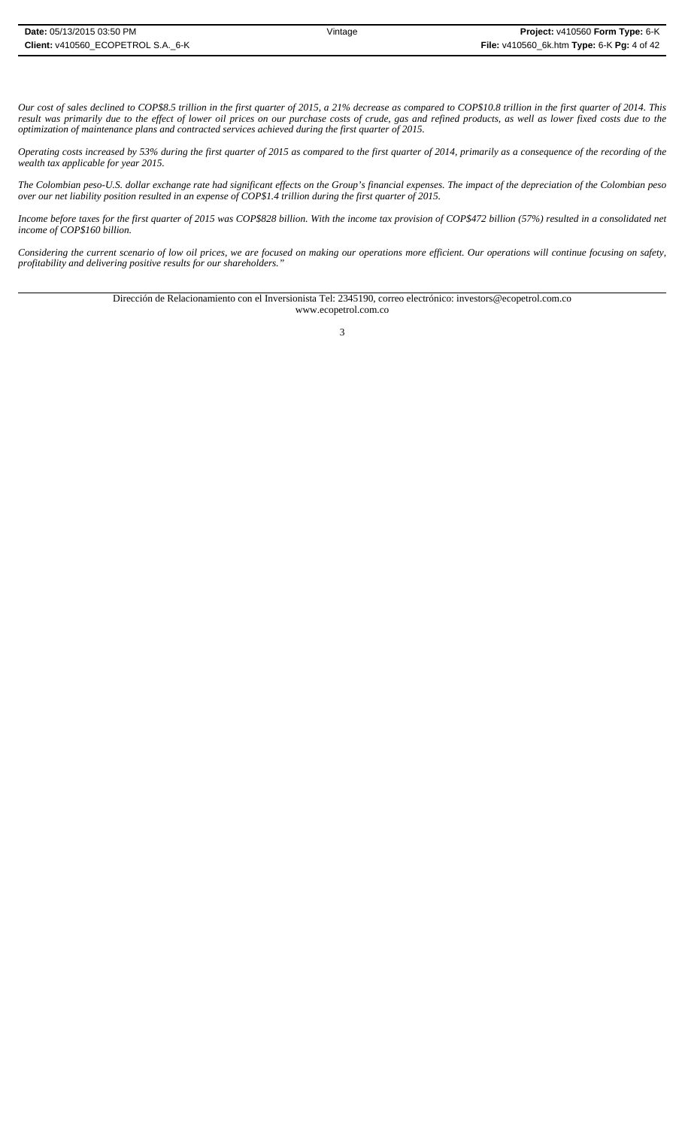*Our cost of sales declined to COP\$8.5 trillion in the first quarter of 2015, a 21% decrease as compared to COP\$10.8 trillion in the first quarter of 2014. This result was primarily due to the effect of lower oil prices on our purchase costs of crude, gas and refined products, as well as lower fixed costs due to the optimization of maintenance plans and contracted services achieved during the first quarter of 2015.*

*Operating costs increased by 53% during the first quarter of 2015 as compared to the first quarter of 2014, primarily as a consequence of the recording of the wealth tax applicable for year 2015.*

*The Colombian peso-U.S. dollar exchange rate had significant effects on the Group's financial expenses. The impact of the depreciation of the Colombian peso over our net liability position resulted in an expense of COP\$1.4 trillion during the first quarter of 2015.*

*Income before taxes for the first quarter of 2015 was COP\$828 billion. With the income tax provision of COP\$472 billion (57%) resulted in a consolidated net income of COP\$160 billion.*

*Considering the current scenario of low oil prices, we are focused on making our operations more efficient. Our operations will continue focusing on safety, profitability and delivering positive results for our shareholders."*

> Dirección de Relacionamiento con el Inversionista Tel: 2345190, correo electrónico: investors@ecopetrol.com.co www.ecopetrol.com.co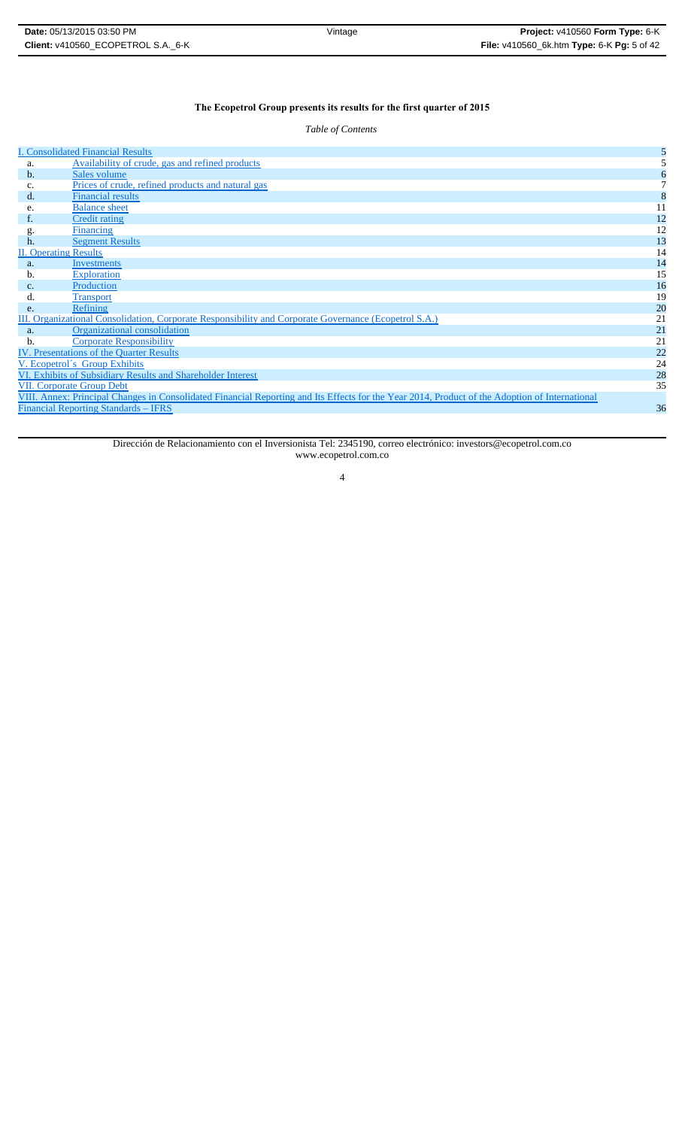# **The Ecopetrol Group presents its results for the first quarter of 2015**

*Table of Contents*

|    | <b>I. Consolidated Financial Results</b>                                                                                                       |    |
|----|------------------------------------------------------------------------------------------------------------------------------------------------|----|
| a. | Availability of crude, gas and refined products                                                                                                |    |
| b. | Sales volume                                                                                                                                   |    |
| c. | Prices of crude, refined products and natural gas                                                                                              |    |
| d. | <b>Financial results</b>                                                                                                                       |    |
| e. | <b>Balance</b> sheet                                                                                                                           | 11 |
| f. | <b>Credit rating</b>                                                                                                                           | 12 |
| g. | Financing                                                                                                                                      | 12 |
| h. | <b>Segment Results</b>                                                                                                                         | 13 |
|    | <b>II. Operating Results</b>                                                                                                                   | 14 |
| a. | Investments                                                                                                                                    | 14 |
| b. | Exploration                                                                                                                                    | 15 |
| c. | Production                                                                                                                                     | 16 |
| d. | <b>Transport</b>                                                                                                                               | 19 |
| e. | Refining                                                                                                                                       | 20 |
|    | III. Organizational Consolidation, Corporate Responsibility and Corporate Governance (Ecopetrol S.A.)                                          | 21 |
| a. | Organizational consolidation                                                                                                                   | 21 |
| b. | <b>Corporate Responsibility</b>                                                                                                                | 21 |
|    | IV. Presentations of the Quarter Results                                                                                                       | 22 |
|    | V. Ecopetrol's Group Exhibits                                                                                                                  | 24 |
|    | VI. Exhibits of Subsidiary Results and Shareholder Interest                                                                                    | 28 |
|    | <b>VII. Corporate Group Debt</b>                                                                                                               | 35 |
|    | VIII. Annex: Principal Changes in Consolidated Financial Reporting and Its Effects for the Year 2014, Product of the Adoption of International |    |
|    | <b>Financial Reporting Standards – IFRS</b>                                                                                                    | 36 |
|    |                                                                                                                                                |    |

Dirección de Relacionamiento con el Inversionista Tel: 2345190, correo electrónico: investors@ecopetrol.com.co www.ecopetrol.com.co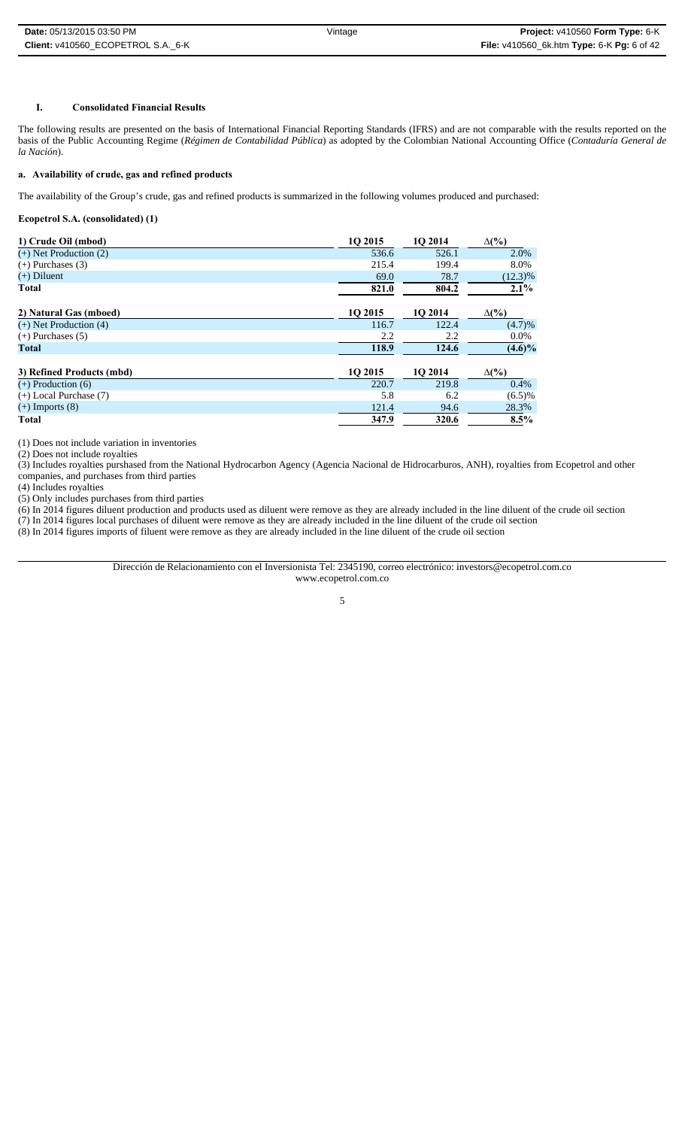# **I. Consolidated Financial Results**

The following results are presented on the basis of International Financial Reporting Standards (IFRS) and are not comparable with the results reported on the basis of the Public Accounting Regime (*Régimen de Contabilidad Pública*) as adopted by the Colombian National Accounting Office (*Contaduría General de la Nación*).

# **a. Availability of crude, gas and refined products**

The availability of the Group's crude, gas and refined products is summarized in the following volumes produced and purchased:

# **Ecopetrol S.A. (consolidated) (1)**

| 1) Crude Oil (mbod)        | 10 2015 | 10 2014 | $\Delta(\%)$ |
|----------------------------|---------|---------|--------------|
| $(+)$ Net Production $(2)$ | 536.6   | 526.1   | 2.0%         |
| $(+)$ Purchases $(3)$      | 215.4   | 199.4   | 8.0%         |
| $(+)$ Diluent              | 69.0    | 78.7    | $(12.3)\%$   |
| <b>Total</b>               | 821.0   | 804.2   | 2.1%         |
| 2) Natural Gas (mboed)     | 10 2015 | 10 2014 | $\Delta(\%)$ |
| $(+)$ Net Production $(4)$ | 116.7   | 122.4   | (4.7)%       |
| $(+)$ Purchases $(5)$      | 2.2     | 2.2     | $0.0\%$      |
| Total                      | 118.9   | 124.6   | $(4.6)\%$    |
| 3) Refined Products (mbd)  | 10 2015 | 10 2014 | $\Delta(\%)$ |
| $(+)$ Production $(6)$     | 220.7   | 219.8   | 0.4%         |
| $(+)$ Local Purchase $(7)$ | 5.8     | 6.2     | (6.5)%       |
| $(+)$ Imports $(8)$        | 121.4   | 94.6    | 28.3%        |
| <b>Total</b>               | 347.9   | 320.6   | 8.5%         |

(1) Does not include variation in inventories

(2) Does not include royalties

(3) Includes royalties purshased from the National Hydrocarbon Agency (Agencia Nacional de Hidrocarburos, ANH), royalties from Ecopetrol and other companies, and purchases from third parties

(4) Includes royalties

(5) Only includes purchases from third parties

(6) In 2014 figures diluent production and products used as diluent were remove as they are already included in the line diluent of the crude oil section

(7) In 2014 figures local purchases of diluent were remove as they are already included in the line diluent of the crude oil section (8) In 2014 figures imports of filuent were remove as they are already included in the line diluent of the crude oil section

> Dirección de Relacionamiento con el Inversionista Tel: 2345190, correo electrónico: investors@ecopetrol.com.co www.ecopetrol.com.co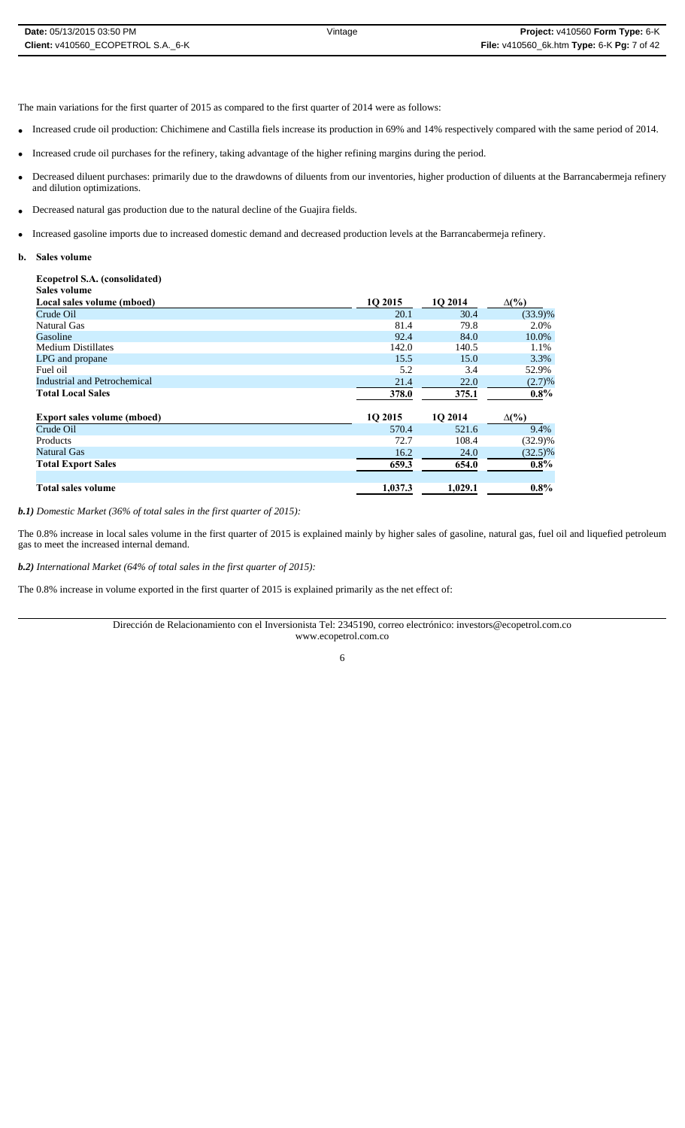The main variations for the first quarter of 2015 as compared to the first quarter of 2014 were as follows:

- Increased crude oil production: Chichimene and Castilla fiels increase its production in 69% and 14% respectively compared with the same period of 2014.
- Increased crude oil purchases for the refinery, taking advantage of the higher refining margins during the period.
- Decreased diluent purchases: primarily due to the drawdowns of diluents from our inventories, higher production of diluents at the Barrancabermeja refinery and dilution optimizations.
- Decreased natural gas production due to the natural decline of the Guajira fields.
- Increased gasoline imports due to increased domestic demand and decreased production levels at the Barrancabermeja refinery.
- **b. Sales volume**

# **Ecopetrol S.A. (consolidated)**

| Sales volume                       |         |         |              |
|------------------------------------|---------|---------|--------------|
| Local sales volume (mboed)         | 10 2015 | 1O 2014 | $\Delta(\%)$ |
| Crude Oil                          | 20.1    | 30.4    | $(33.9)\%$   |
| Natural Gas                        | 81.4    | 79.8    | 2.0%         |
| Gasoline                           | 92.4    | 84.0    | 10.0%        |
| <b>Medium Distillates</b>          | 142.0   | 140.5   | 1.1%         |
| LPG and propane                    | 15.5    | 15.0    | 3.3%         |
| Fuel oil                           | 5.2     | 3.4     | 52.9%        |
| Industrial and Petrochemical       | 21.4    | 22.0    | (2.7)%       |
| <b>Total Local Sales</b>           | 378.0   | 375.1   | $0.8\%$      |
| <b>Export sales volume (mboed)</b> | 10 2015 | 1Q 2014 | $\Delta(\%)$ |
| Crude Oil                          | 570.4   | 521.6   | 9.4%         |
| Products                           | 72.7    | 108.4   | $(32.9)\%$   |
| Natural Gas                        | 16.2    | 24.0    | $(32.5)\%$   |
| <b>Total Export Sales</b>          | 659.3   | 654.0   | $0.8\%$      |
| Total sales volume                 | 1.037.3 | 1,029.1 | $0.8\%$      |

*b.1) Domestic Market (36% of total sales in the first quarter of 2015):* 

The 0.8% increase in local sales volume in the first quarter of 2015 is explained mainly by higher sales of gasoline, natural gas, fuel oil and liquefied petroleum gas to meet the increased internal demand.

*b.2) International Market (64% of total sales in the first quarter of 2015):*

The 0.8% increase in volume exported in the first quarter of 2015 is explained primarily as the net effect of:

Dirección de Relacionamiento con el Inversionista Tel: 2345190, correo electrónico: investors@ecopetrol.com.co www.ecopetrol.com.co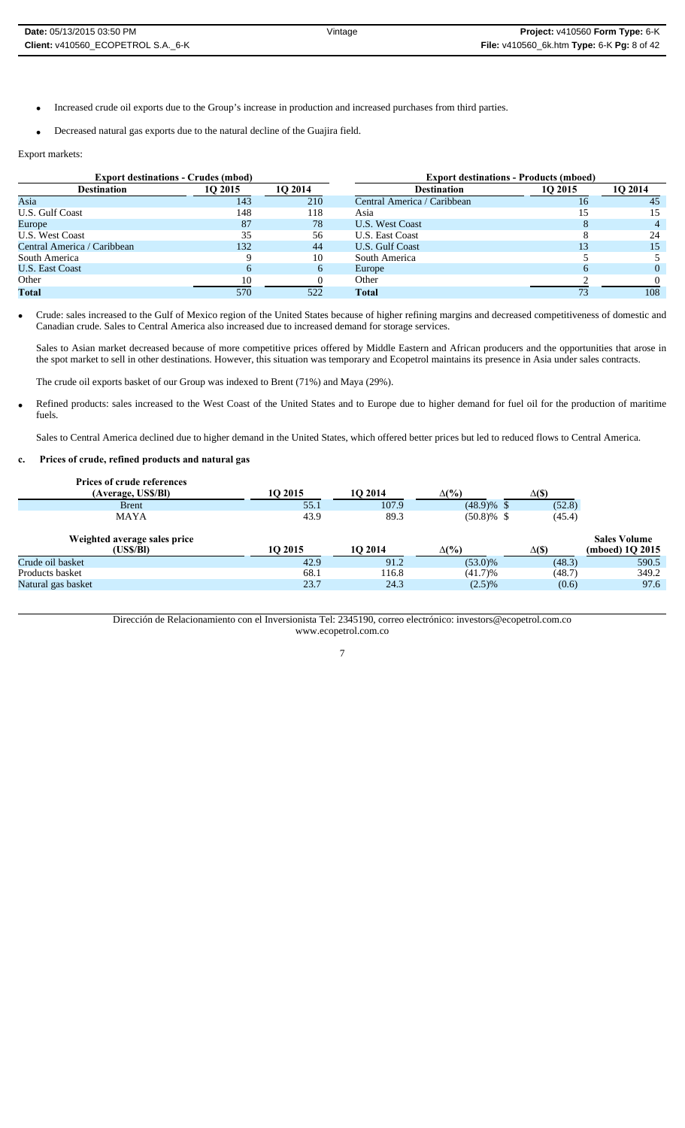- Increased crude oil exports due to the Group's increase in production and increased purchases from third parties.
- Decreased natural gas exports due to the natural decline of the Guajira field.

Export markets:

| <b>Export destinations - Crudes (mbod)</b> |         |         | <b>Export destinations - Products (mboed)</b> |         |          |
|--------------------------------------------|---------|---------|-----------------------------------------------|---------|----------|
| <b>Destination</b>                         | 10 2015 | 10 2014 | <b>Destination</b>                            | 10 2015 | 10 2014  |
| Asia                                       | 143     | 210     | Central America / Caribbean                   | 16      | 45       |
| <b>U.S. Gulf Coast</b>                     | 148     | 118     | Asia                                          |         | 15       |
| Europe                                     | 87      | 78      | <b>U.S. West Coast</b>                        |         |          |
| <b>U.S. West Coast</b>                     | 35      | 56      | U.S. East Coast                               |         | 24       |
| Central America / Caribbean                | 132     | 44      | U.S. Gulf Coast                               |         | 15       |
| South America                              |         | 10      | South America                                 |         |          |
| <b>U.S. East Coast</b>                     | 6       | 6       | Europe                                        |         | $\Omega$ |
| Other                                      | 10      |         | Other                                         |         |          |
| <b>Total</b>                               | 570     | 522     | <b>Total</b>                                  | 73      | 108      |

 Crude: sales increased to the Gulf of Mexico region of the United States because of higher refining margins and decreased competitiveness of domestic and Canadian crude. Sales to Central America also increased due to increased demand for storage services.

Sales to Asian market decreased because of more competitive prices offered by Middle Eastern and African producers and the opportunities that arose in the spot market to sell in other destinations. However, this situation was temporary and Ecopetrol maintains its presence in Asia under sales contracts.

The crude oil exports basket of our Group was indexed to Brent (71%) and Maya (29%).

 Refined products: sales increased to the West Coast of the United States and to Europe due to higher demand for fuel oil for the production of maritime fuels.

Sales to Central America declined due to higher demand in the United States, which offered better prices but led to reduced flows to Central America.

### **c. Prices of crude, refined products and natural gas**

| <b>Prices of crude references</b> |         |         |               |               |                     |
|-----------------------------------|---------|---------|---------------|---------------|---------------------|
| (Average, US\$/BI)                | 10 2015 | 10 2014 | $\Delta(\%)$  | $\Delta$ (\$) |                     |
| <b>Brent</b>                      | 55.1    | 107.9   | $(48.9)\%$ \$ | (52.8)        |                     |
| <b>MAYA</b>                       | 43.9    | 89.3    | $(50.8)\%$ \$ | (45.4)        |                     |
| Weighted average sales price      |         |         |               |               | <b>Sales Volume</b> |
| (USS/BI)                          | 10 2015 | 10 2014 | $\Delta(\%)$  | $\Delta$ (\$) | (mboed) 1Q 2015     |
| Crude oil basket                  | 42.9    | 91.2    | $(53.0)\%$    | (48.3)        | 590.5               |
| Products basket                   | 68.1    | 116.8   | (41.7)%       | (48.7)        | 349.2               |
| Natural gas basket                | 23.7    | 24.3    | $(2.5)\%$     | (0.6)         | 97.6                |

Dirección de Relacionamiento con el Inversionista Tel: 2345190, correo electrónico: investors@ecopetrol.com.co www.ecopetrol.com.co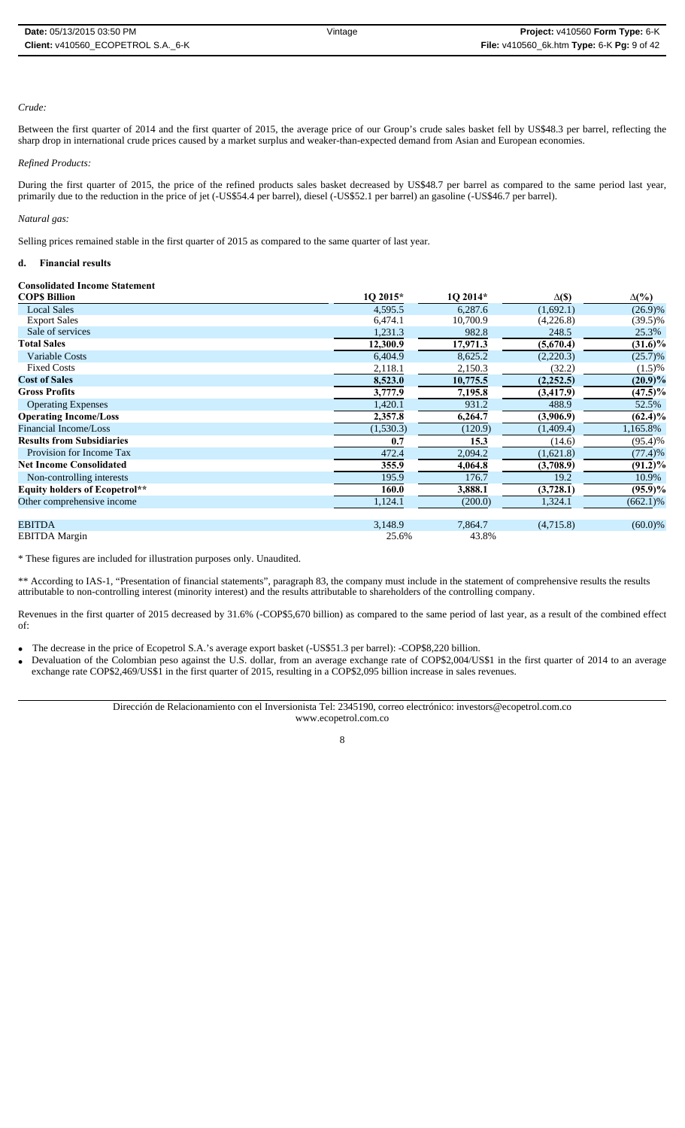### *Crude:*

Between the first quarter of 2014 and the first quarter of 2015, the average price of our Group's crude sales basket fell by US\$48.3 per barrel, reflecting the sharp drop in international crude prices caused by a market surplus and weaker-than-expected demand from Asian and European economies.

#### *Refined Products:*

During the first quarter of 2015, the price of the refined products sales basket decreased by US\$48.7 per barrel as compared to the same period last year, primarily due to the reduction in the price of jet (-US\$54.4 per barrel), diesel (-US\$52.1 per barrel) an gasoline (-US\$46.7 per barrel).

#### *Natural gas:*

Selling prices remained stable in the first quarter of 2015 as compared to the same quarter of last year.

# **d. Financial results**

# **Consolidated Income Statement**

| <b>COPS Billion</b>                  | 10 2015*  | 1O 2014* | $\Delta(\$)$ | $\Delta(\%)$ |
|--------------------------------------|-----------|----------|--------------|--------------|
| <b>Local Sales</b>                   | 4,595.5   | 6,287.6  | (1,692.1)    | $(26.9)\%$   |
| <b>Export Sales</b>                  | 6,474.1   | 10,700.9 | (4,226.8)    | $(39.5)\%$   |
| Sale of services                     | 1,231.3   | 982.8    | 248.5        | 25.3%        |
| <b>Total Sales</b>                   | 12,300.9  | 17,971.3 | (5,670.4)    | $(31.6)\%$   |
| Variable Costs                       | 6,404.9   | 8,625.2  | (2,220.3)    | $(25.7)\%$   |
| <b>Fixed Costs</b>                   | 2,118.1   | 2,150.3  | (32.2)       | $(1.5)\%$    |
| <b>Cost of Sales</b>                 | 8,523.0   | 10,775.5 | (2,252.5)    | $(20.9)\%$   |
| <b>Gross Profits</b>                 | 3,777.9   | 7,195.8  | (3,417.9)    | $(47.5)\%$   |
| <b>Operating Expenses</b>            | 1,420.1   | 931.2    | 488.9        | 52.5%        |
| <b>Operating Income/Loss</b>         | 2,357.8   | 6,264.7  | (3,906.9)    | $(62.4)\%$   |
| Financial Income/Loss                | (1,530.3) | (120.9)  | (1,409.4)    | 1,165.8%     |
| <b>Results from Subsidiaries</b>     | 0.7       | 15.3     | (14.6)       | $(95.4)$ %   |
| Provision for Income Tax             | 472.4     | 2,094.2  | (1,621.8)    | (77.4)%      |
| <b>Net Income Consolidated</b>       | 355.9     | 4,064.8  | (3,708.9)    | $(91.2)\%$   |
| Non-controlling interests            | 195.9     | 176.7    | 19.2         | 10.9%        |
| <b>Equity holders of Ecopetrol**</b> | 160.0     | 3,888.1  | (3,728.1)    | $(95.9)\%$   |
| Other comprehensive income           | 1,124.1   | (200.0)  | 1,324.1      | $(662.1)\%$  |
| <b>EBITDA</b>                        | 3,148.9   | 7,864.7  | (4,715.8)    | $(60.0)\%$   |
| <b>EBITDA</b> Margin                 | 25.6%     | 43.8%    |              |              |

\* These figures are included for illustration purposes only. Unaudited.

\*\* According to IAS-1, "Presentation of financial statements", paragraph 83, the company must include in the statement of comprehensive results the results attributable to non-controlling interest (minority interest) and the results attributable to shareholders of the controlling company.

Revenues in the first quarter of 2015 decreased by 31.6% (-COP\$5,670 billion) as compared to the same period of last year, as a result of the combined effect of:

- The decrease in the price of Ecopetrol S.A.'s average export basket (-US\$51.3 per barrel): -COP\$8,220 billion.
- Devaluation of the Colombian peso against the U.S. dollar, from an average exchange rate of COP\$2,004/US\$1 in the first quarter of 2014 to an average exchange rate COP\$2,469/US\$1 in the first quarter of 2015, resulting in a COP\$2,095 billion increase in sales revenues.

Dirección de Relacionamiento con el Inversionista Tel: 2345190, correo electrónico: investors@ecopetrol.com.co www.ecopetrol.com.co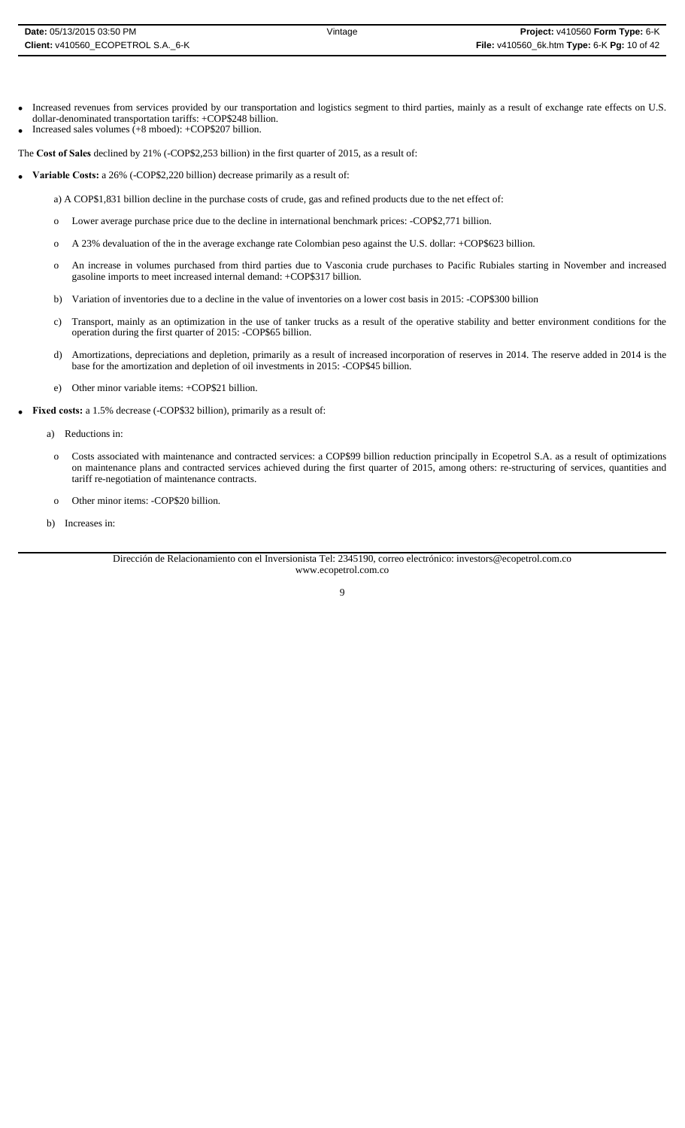- Increased revenues from services provided by our transportation and logistics segment to third parties, mainly as a result of exchange rate effects on U.S. dollar-denominated transportation tariffs: +COP\$248 billion.
- Increased sales volumes (+8 mboed): +COP\$207 billion.

The **Cost of Sales** declined by 21% (-COP\$2,253 billion) in the first quarter of 2015, as a result of:

- **Variable Costs:** a 26% (-COP\$2,220 billion) decrease primarily as a result of:
	- a) A COP\$1,831 billion decline in the purchase costs of crude, gas and refined products due to the net effect of:
	- o Lower average purchase price due to the decline in international benchmark prices: -COP\$2,771 billion.
	- o A 23% devaluation of the in the average exchange rate Colombian peso against the U.S. dollar: +COP\$623 billion.
	- o An increase in volumes purchased from third parties due to Vasconia crude purchases to Pacific Rubiales starting in November and increased gasoline imports to meet increased internal demand: +COP\$317 billion.
	- b) Variation of inventories due to a decline in the value of inventories on a lower cost basis in 2015: -COP\$300 billion
	- c) Transport, mainly as an optimization in the use of tanker trucks as a result of the operative stability and better environment conditions for the operation during the first quarter of 2015: -COP\$65 billion.
	- d) Amortizations, depreciations and depletion, primarily as a result of increased incorporation of reserves in 2014. The reserve added in 2014 is the base for the amortization and depletion of oil investments in 2015: -COP\$45 billion.
	- e) Other minor variable items: +COP\$21 billion.
- **Fixed costs:** a 1.5% decrease (-COP\$32 billion), primarily as a result of:
	- a) Reductions in:
	- o Costs associated with maintenance and contracted services: a COP\$99 billion reduction principally in Ecopetrol S.A. as a result of optimizations on maintenance plans and contracted services achieved during the first quarter of 2015, among others: re-structuring of services, quantities and tariff re-negotiation of maintenance contracts.
	- o Other minor items: -COP\$20 billion.
	- b) Increases in:

Dirección de Relacionamiento con el Inversionista Tel: 2345190, correo electrónico: investors@ecopetrol.com.co www.ecopetrol.com.co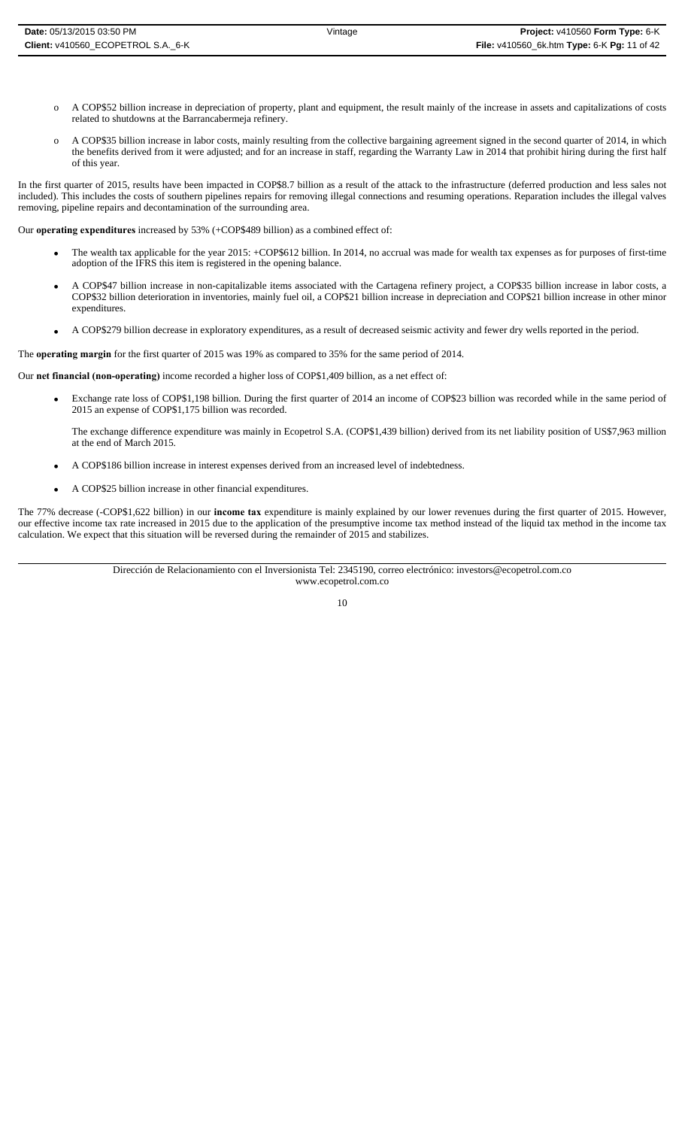- o A COP\$52 billion increase in depreciation of property, plant and equipment, the result mainly of the increase in assets and capitalizations of costs related to shutdowns at the Barrancabermeja refinery.
- o A COP\$35 billion increase in labor costs, mainly resulting from the collective bargaining agreement signed in the second quarter of 2014, in which the benefits derived from it were adjusted; and for an increase in staff, regarding the Warranty Law in 2014 that prohibit hiring during the first half of this year.

In the first quarter of 2015, results have been impacted in COP\$8.7 billion as a result of the attack to the infrastructure (deferred production and less sales not included). This includes the costs of southern pipelines repairs for removing illegal connections and resuming operations. Reparation includes the illegal valves removing, pipeline repairs and decontamination of the surrounding area.

Our **operating expenditures** increased by 53% (+COP\$489 billion) as a combined effect of:

- The wealth tax applicable for the year 2015: +COP\$612 billion. In 2014, no accrual was made for wealth tax expenses as for purposes of first-time adoption of the IFRS this item is registered in the opening balance.
- A COP\$47 billion increase in non-capitalizable items associated with the Cartagena refinery project, a COP\$35 billion increase in labor costs, a COP\$32 billion deterioration in inventories, mainly fuel oil, a COP\$21 billion increase in depreciation and COP\$21 billion increase in other minor expenditures.
- A COP\$279 billion decrease in exploratory expenditures, as a result of decreased seismic activity and fewer dry wells reported in the period.

The **operating margin** for the first quarter of 2015 was 19% as compared to 35% for the same period of 2014.

Our **net financial (non-operating)** income recorded a higher loss of COP\$1,409 billion, as a net effect of:

- Exchange rate loss of COP\$1,198 billion. During the first quarter of 2014 an income of COP\$23 billion was recorded while in the same period of 2015 an expense of COP\$1,175 billion was recorded.
	- The exchange difference expenditure was mainly in Ecopetrol S.A. (COP\$1,439 billion) derived from its net liability position of US\$7,963 million at the end of March 2015.
- A COP\$186 billion increase in interest expenses derived from an increased level of indebtedness.
- A COP\$25 billion increase in other financial expenditures.

The 77% decrease (-COP\$1,622 billion) in our **income tax** expenditure is mainly explained by our lower revenues during the first quarter of 2015. However, our effective income tax rate increased in 2015 due to the application of the presumptive income tax method instead of the liquid tax method in the income tax calculation. We expect that this situation will be reversed during the remainder of 2015 and stabilizes.

> Dirección de Relacionamiento con el Inversionista Tel: 2345190, correo electrónico: investors@ecopetrol.com.co www.ecopetrol.com.co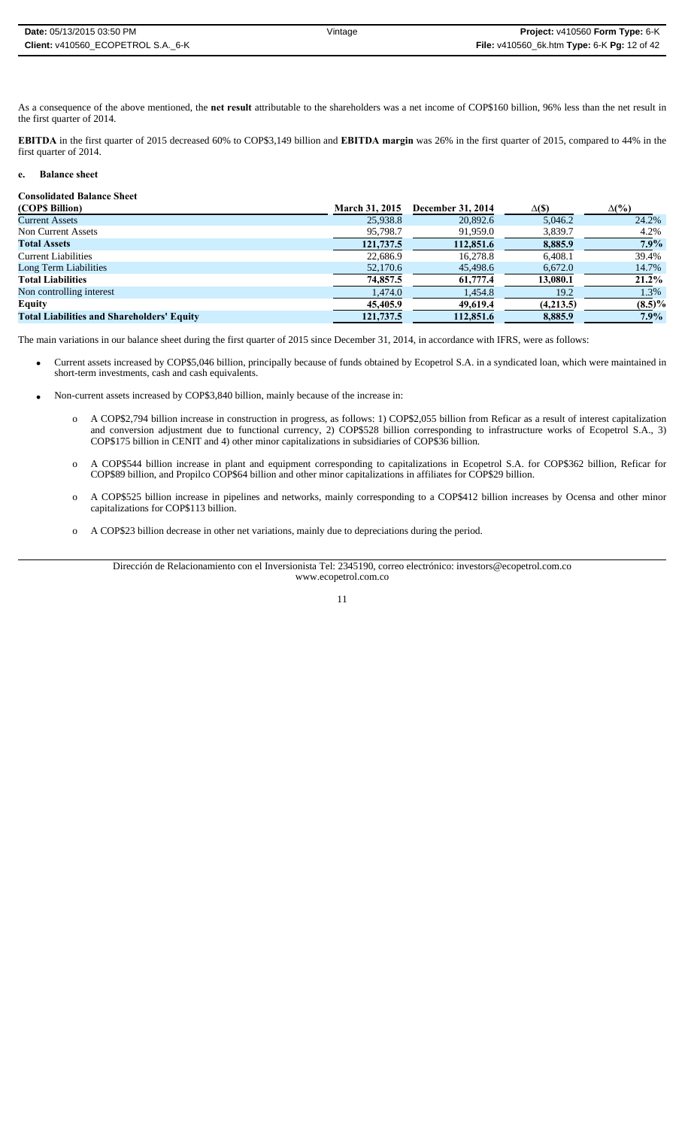| <b>Date:</b> 05/13/2015 03:50 PM   | Vintage | <b>Project:</b> $v410560$ Form Type: $6-K$  |
|------------------------------------|---------|---------------------------------------------|
| Client: v410560 ECOPETROL S.A. 6-K |         | File: v410560_6k.htm Type: 6-K Pg: 12 of 42 |

As a consequence of the above mentioned, the **net result** attributable to the shareholders was a net income of COP\$160 billion, 96% less than the net result in the first quarter of 2014.

**EBITDA** in the first quarter of 2015 decreased 60% to COP\$3,149 billion and **EBITDA margin** was 26% in the first quarter of 2015, compared to 44% in the first quarter of 2014.

### **e. Balance sheet**

#### **Consolidated Balance Sheet**

| (COP\$ Billion)                                   | <b>March 31, 2015</b> | December 31, 2014 | $\Delta$ (\$) | $\Delta(\%)$ |
|---------------------------------------------------|-----------------------|-------------------|---------------|--------------|
| <b>Current Assets</b>                             | 25,938.8              | 20,892.6          | 5.046.2       | 24.2%        |
| Non Current Assets                                | 95,798.7              | 91,959.0          | 3,839.7       | 4.2%         |
| <b>Total Assets</b>                               | 121,737.5             | 112,851.6         | 8,885.9       | $7.9\%$      |
| <b>Current Liabilities</b>                        | 22,686.9              | 16.278.8          | 6.408.1       | 39.4%        |
| Long Term Liabilities                             | 52,170.6              | 45,498.6          | 6,672.0       | 14.7%        |
| <b>Total Liabilities</b>                          | 74,857.5              | 61,777.4          | 13,080.1      | $21.2\%$     |
| Non controlling interest                          | 1.474.0               | 1,454.8           | 19.2          | 1.3%         |
| Equity                                            | 45,405.9              | 49,619.4          | (4,213.5)     | $(8.5)\%$    |
| <b>Total Liabilities and Shareholders' Equity</b> | 121,737.5             | 112,851.6         | 8,885.9       | $7.9\%$      |

The main variations in our balance sheet during the first quarter of 2015 since December 31, 2014, in accordance with IFRS, were as follows:

- Current assets increased by COP\$5,046 billion, principally because of funds obtained by Ecopetrol S.A. in a syndicated loan, which were maintained in short-term investments, cash and cash equivalents.
- Non-current assets increased by COP\$3,840 billion, mainly because of the increase in:
	- o A COP\$2,794 billion increase in construction in progress, as follows: 1) COP\$2,055 billion from Reficar as a result of interest capitalization and conversion adjustment due to functional currency, 2) COP\$528 billion corresponding to infrastructure works of Ecopetrol S.A., 3) COP\$175 billion in CENIT and 4) other minor capitalizations in subsidiaries of COP\$36 billion.
	- o A COP\$544 billion increase in plant and equipment corresponding to capitalizations in Ecopetrol S.A. for COP\$362 billion, Reficar for COP\$89 billion, and Propilco COP\$64 billion and other minor capitalizations in affiliates for COP\$29 billion.
	- o A COP\$525 billion increase in pipelines and networks, mainly corresponding to a COP\$412 billion increases by Ocensa and other minor capitalizations for COP\$113 billion.
	- o A COP\$23 billion decrease in other net variations, mainly due to depreciations during the period.

Dirección de Relacionamiento con el Inversionista Tel: 2345190, correo electrónico: investors@ecopetrol.com.co www.ecopetrol.com.co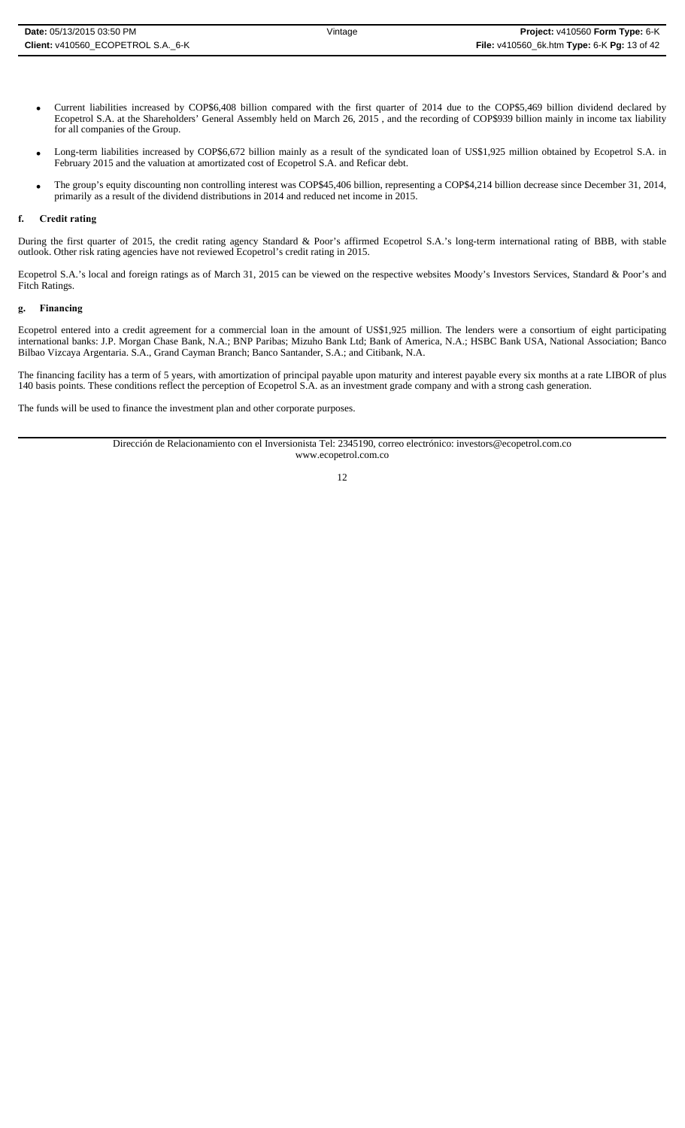- Long-term liabilities increased by COP\$6,672 billion mainly as a result of the syndicated loan of US\$1,925 million obtained by Ecopetrol S.A. in February 2015 and the valuation at amortizated cost of Ecopetrol S.A. and Reficar debt.
- The group's equity discounting non controlling interest was COP\$45,406 billion, representing a COP\$4,214 billion decrease since December 31, 2014, primarily as a result of the dividend distributions in 2014 and reduced net income in 2015.

### **f. Credit rating**

During the first quarter of 2015, the credit rating agency Standard & Poor's affirmed Ecopetrol S.A.'s long-term international rating of BBB, with stable outlook. Other risk rating agencies have not reviewed Ecopetrol's credit rating in 2015.

Ecopetrol S.A.'s local and foreign ratings as of March 31, 2015 can be viewed on the respective websites Moody's Investors Services, Standard & Poor's and Fitch Ratings.

# **g. Financing**

Ecopetrol entered into a credit agreement for a commercial loan in the amount of US\$1,925 million. The lenders were a consortium of eight participating international banks: J.P. Morgan Chase Bank, N.A.; BNP Paribas; Mizuho Bank Ltd; Bank of America, N.A.; HSBC Bank USA, National Association; Banco Bilbao Vizcaya Argentaria. S.A., Grand Cayman Branch; Banco Santander, S.A.; and Citibank, N.A.

The financing facility has a term of 5 years, with amortization of principal payable upon maturity and interest payable every six months at a rate LIBOR of plus 140 basis points. These conditions reflect the perception of Ecopetrol S.A. as an investment grade company and with a strong cash generation.

The funds will be used to finance the investment plan and other corporate purposes.

Dirección de Relacionamiento con el Inversionista Tel: 2345190, correo electrónico: investors@ecopetrol.com.co www.ecopetrol.com.co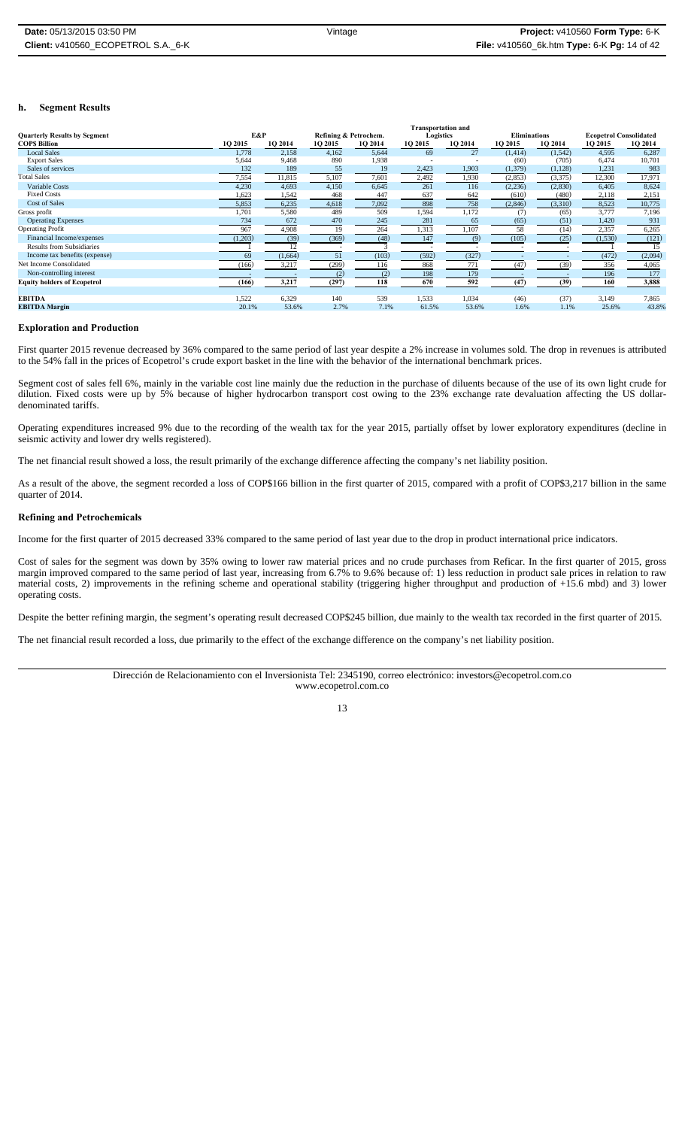### **h. Segment Results**

|                                     |         |         |                       |         | <b>Transportation and</b> |                |                     |         |                               |         |
|-------------------------------------|---------|---------|-----------------------|---------|---------------------------|----------------|---------------------|---------|-------------------------------|---------|
| <b>Quarterly Results by Segment</b> | E&P     |         | Refining & Petrochem. |         | Logistics                 |                | <b>Eliminations</b> |         | <b>Ecopetrol Consolidated</b> |         |
| <b>COPS Billion</b>                 | 10 2015 | 1Q 2014 | 1O 2015               | 1O 2014 | 1Q 2015                   | <b>10 2014</b> | 10 2015             | 1Q 2014 | <b>1O 2015</b>                | 1Q 2014 |
| <b>Local Sales</b>                  | 1,778   | 2,158   | 4,162                 | 5,644   | 69                        | 27             | (1,414)             | (1,542) | 4,595                         | 6,287   |
| <b>Export Sales</b>                 | 5,644   | 9,468   | 890                   | 1,938   |                           |                | (60)                | (705)   | 6,474                         | 10,701  |
| Sales of services                   | 132     | 189     | 55                    | 19      | 2,423                     | 1,903          | (1, 379)            | (1,128) | 1,231                         | 983     |
| <b>Total Sales</b>                  | 7,554   | 11,815  | 5,107                 | 7,601   | 2,492                     | 1,930          | (2,853)             | (3,375) | 12,300                        | 17,971  |
| Variable Costs                      | 4,230   | 4,693   | 4,150                 | 6,645   | 261                       | 116            | (2, 236)            | (2,830) | 6,405                         | 8,624   |
| <b>Fixed Costs</b>                  | 1,623   | 1,542   | 468                   | 447     | 637                       | 642            | (610)               | (480)   | 2,118                         | 2,151   |
| <b>Cost of Sales</b>                | 5,853   | 6,235   | 4,618                 | 7,092   | 898                       | 758            | (2, 846)            | (3,310) | 8,523                         | 10,775  |
| Gross profit                        | 1,701   | 5,580   | 489                   | 509     | 1,594                     | 1,172          | (7)                 | (65)    | 3,777                         | 7,196   |
| <b>Operating Expenses</b>           | 734     | 672     | 470                   | 245     | 281                       | 65             | (65)                | (51)    | 1,420                         | 931     |
| <b>Operating Profit</b>             | 967     | 4,908   | 19                    | 264     | 1,313                     | 1,107          | 58                  | (14)    | 2,357                         | 6,265   |
| Financial Income/expenses           | (1,203) | (39)    | (369)                 | (48)    | 147                       | (9)            | (105)               | (25)    | (1,530)                       | (121)   |
| <b>Results from Subsidiaries</b>    |         |         |                       |         |                           |                |                     |         |                               | 15      |
| Income tax benefits (expense)       | 69      | (1,664) | 51                    | (103)   | (592)                     | (327)          |                     |         | (472)                         | (2,094) |
| Net Income Consolidated             | (166)   | 3,217   | (299)                 | 116     | 868                       | 771            | (47)                | (39)    | 356                           | 4,065   |
| Non-controlling interest            |         |         | (2)                   | (2)     | 198                       | 179            |                     |         | 196                           | 177     |
| <b>Equity holders of Ecopetrol</b>  | (166)   | 3,217   | (297)                 | 118     | 670                       | 592            | (47)                | (39)    | 160                           | 3,888   |
|                                     |         |         |                       |         |                           |                |                     |         |                               |         |
| <b>EBITDA</b>                       | 1,522   | 6,329   | 140                   | 539     | 1,533                     | 1,034          | (46)                | (37)    | 3,149                         | 7,865   |
| <b>EBITDA Margin</b>                | 20.1%   | 53.6%   | 2.7%                  | 7.1%    | 61.5%                     | 53.6%          | 1.6%                | 1.1%    | 25.6%                         | 43.8%   |

#### **Exploration and Production**

First quarter 2015 revenue decreased by 36% compared to the same period of last year despite a 2% increase in volumes sold. The drop in revenues is attributed to the 54% fall in the prices of Ecopetrol's crude export basket in the line with the behavior of the international benchmark prices.

Segment cost of sales fell 6%, mainly in the variable cost line mainly due the reduction in the purchase of diluents because of the use of its own light crude for dilution. Fixed costs were up by 5% because of higher hydrocarbon transport cost owing to the 23% exchange rate devaluation affecting the US dollardenominated tariffs.

Operating expenditures increased 9% due to the recording of the wealth tax for the year 2015, partially offset by lower exploratory expenditures (decline in seismic activity and lower dry wells registered).

The net financial result showed a loss, the result primarily of the exchange difference affecting the company's net liability position.

As a result of the above, the segment recorded a loss of COP\$166 billion in the first quarter of 2015, compared with a profit of COP\$3,217 billion in the same quarter of 2014.

#### **Refining and Petrochemicals**

Income for the first quarter of 2015 decreased 33% compared to the same period of last year due to the drop in product international price indicators.

Cost of sales for the segment was down by 35% owing to lower raw material prices and no crude purchases from Reficar. In the first quarter of 2015, gross margin improved compared to the same period of last year, increasing from 6.7% to 9.6% because of: 1) less reduction in product sale prices in relation to raw material costs, 2) improvements in the refining scheme and operational stability (triggering higher throughput and production of +15.6 mbd) and 3) lower operating costs.

Despite the better refining margin, the segment's operating result decreased COP\$245 billion, due mainly to the wealth tax recorded in the first quarter of 2015.

The net financial result recorded a loss, due primarily to the effect of the exchange difference on the company's net liability position.

Dirección de Relacionamiento con el Inversionista Tel: 2345190, correo electrónico: investors@ecopetrol.com.co www.ecopetrol.com.co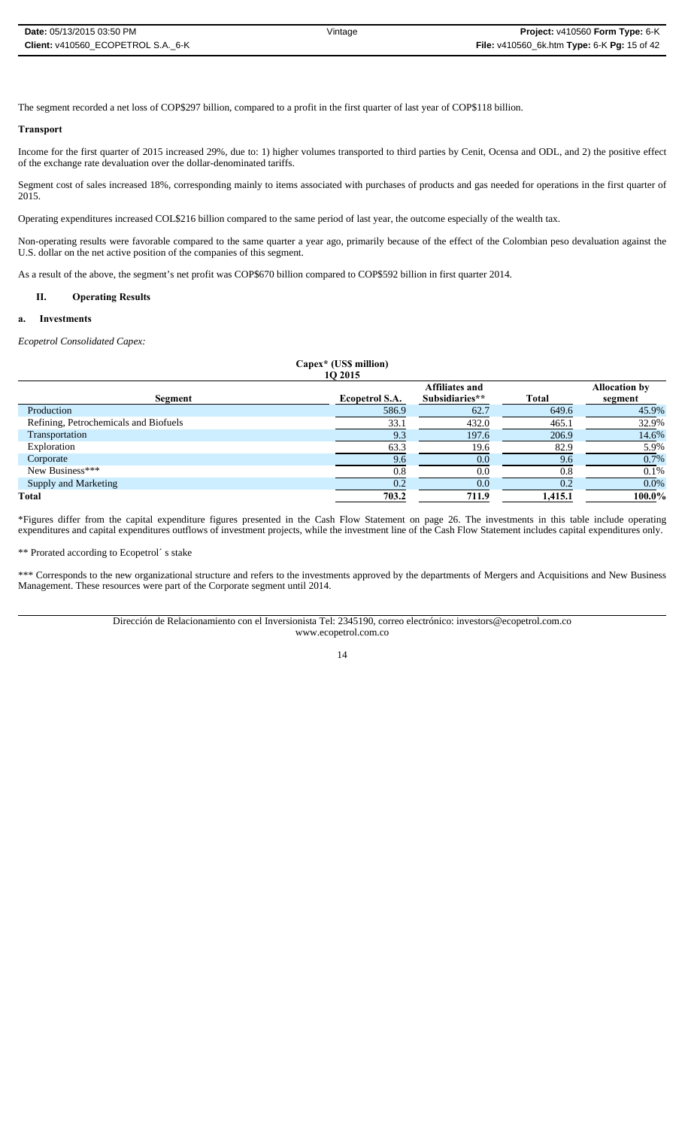The segment recorded a net loss of COP\$297 billion, compared to a profit in the first quarter of last year of COP\$118 billion.

### **Transport**

Income for the first quarter of 2015 increased 29%, due to: 1) higher volumes transported to third parties by Cenit, Ocensa and ODL, and 2) the positive effect of the exchange rate devaluation over the dollar-denominated tariffs.

Segment cost of sales increased 18%, corresponding mainly to items associated with purchases of products and gas needed for operations in the first quarter of 2015.

Operating expenditures increased COL\$216 billion compared to the same period of last year, the outcome especially of the wealth tax.

Non-operating results were favorable compared to the same quarter a year ago, primarily because of the effect of the Colombian peso devaluation against the U.S. dollar on the net active position of the companies of this segment.

As a result of the above, the segment's net profit was COP\$670 billion compared to COP\$592 billion in first quarter 2014.

## **II. Operating Results**

### **a. Investments**

*Ecopetrol Consolidated Capex:*

**Capex\* (US\$ million) 1Q 2015**

| Segment                               | <b>Ecopetrol S.A.</b> | <b>Affiliates and</b><br>Subsidiaries** | <b>Total</b> | <b>Allocation by</b><br>segment |
|---------------------------------------|-----------------------|-----------------------------------------|--------------|---------------------------------|
| Production                            | 586.9                 | 62.7                                    | 649.6        | 45.9%                           |
| Refining, Petrochemicals and Biofuels | 33.1                  | 432.0                                   | 465.1        | 32.9%                           |
| Transportation                        | 9.3                   | 197.6                                   | 206.9        | 14.6%                           |
| Exploration                           | 63.3                  | 19.6                                    | 82.9         | 5.9%                            |
| Corporate                             | 9.6                   | 0.0                                     | 9.6          | 0.7%                            |
| New Business***                       | 0.8                   | 0.0                                     | 0.8          | 0.1%                            |
| <b>Supply and Marketing</b>           | 0.2                   | 0.0                                     | 0.2          | 0.0%                            |
| Total                                 | 703.2                 | 711.9                                   | 1,415.1      | 100.0%                          |
|                                       |                       |                                         |              |                                 |

\*Figures differ from the capital expenditure figures presented in the Cash Flow Statement on page 26. The investments in this table include operating expenditures and capital expenditures outflows of investment projects, while the investment line of the Cash Flow Statement includes capital expenditures only.

\*\* Prorated according to Ecopetrol´ s stake

\*\*\* Corresponds to the new organizational structure and refers to the investments approved by the departments of Mergers and Acquisitions and New Business Management. These resources were part of the Corporate segment until 2014.

> Dirección de Relacionamiento con el Inversionista Tel: 2345190, correo electrónico: investors@ecopetrol.com.co www.ecopetrol.com.co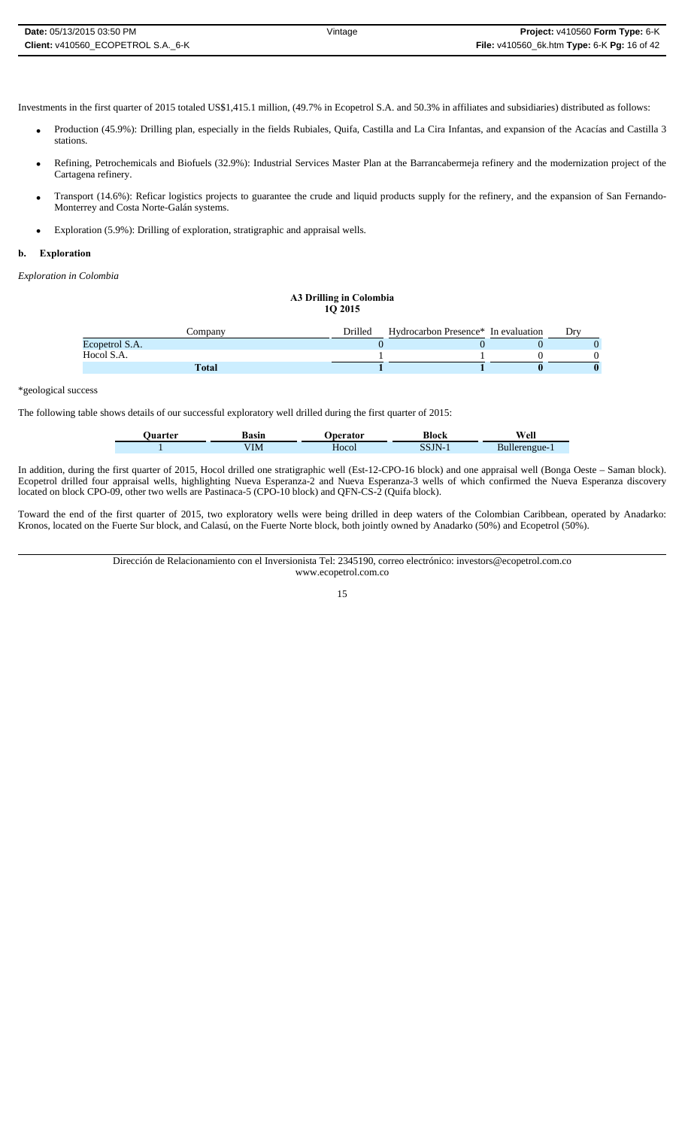| Date: 05/13/2015 03:50 PM          | Vintage | Project: v410560 Form Type: 6-K                    |
|------------------------------------|---------|----------------------------------------------------|
| Client: v410560 ECOPETROL S.A. 6-K |         | <b>File:</b> v410560_6k.htm Type: 6-K Pg: 16 of 42 |

Investments in the first quarter of 2015 totaled US\$1,415.1 million, (49.7% in Ecopetrol S.A. and 50.3% in affiliates and subsidiaries) distributed as follows:

- Production (45.9%): Drilling plan, especially in the fields Rubiales, Quifa, Castilla and La Cira Infantas, and expansion of the Acacías and Castilla 3 stations.
- Refining, Petrochemicals and Biofuels (32.9%): Industrial Services Master Plan at the Barrancabermeja refinery and the modernization project of the Cartagena refinery.
- Transport (14.6%): Reficar logistics projects to guarantee the crude and liquid products supply for the refinery, and the expansion of San Fernando-Monterrey and Costa Norte-Galán systems.
- Exploration (5.9%): Drilling of exploration, stratigraphic and appraisal wells.

# **b. Exploration**

*Exploration in Colombia*

#### **A3 Drilling in Colombia 1Q 2015**

| ∶ompanv        | <b>Drilled</b> | Hydrocarbon Presence <sup>*</sup> In evaluation | Drv |
|----------------|----------------|-------------------------------------------------|-----|
| Ecopetrol S.A. |                |                                                 |     |
| Hocol S.A.     |                |                                                 |     |
| Total          |                |                                                 |     |

### \*geological success

The following table shows details of our successful exploratory well drilled during the first quarter of 2015:

| Juarter | Basin          | eerator | <b>Block</b> | $W_0$ ll<br>Сп |
|---------|----------------|---------|--------------|----------------|
|         | $^{\prime}$ IM | Hocol   | ບປ           | Bullerengue-   |

In addition, during the first quarter of 2015, Hocol drilled one stratigraphic well (Est-12-CPO-16 block) and one appraisal well (Bonga Oeste – Saman block). Ecopetrol drilled four appraisal wells, highlighting Nueva Esperanza-2 and Nueva Esperanza-3 wells of which confirmed the Nueva Esperanza discovery located on block CPO-09, other two wells are Pastinaca-5 (CPO-10 block) and QFN-CS-2 (Quifa block).

Toward the end of the first quarter of 2015, two exploratory wells were being drilled in deep waters of the Colombian Caribbean, operated by Anadarko: Kronos, located on the Fuerte Sur block, and Calasú, on the Fuerte Norte block, both jointly owned by Anadarko (50%) and Ecopetrol (50%).

> Dirección de Relacionamiento con el Inversionista Tel: 2345190, correo electrónico: investors@ecopetrol.com.co www.ecopetrol.com.co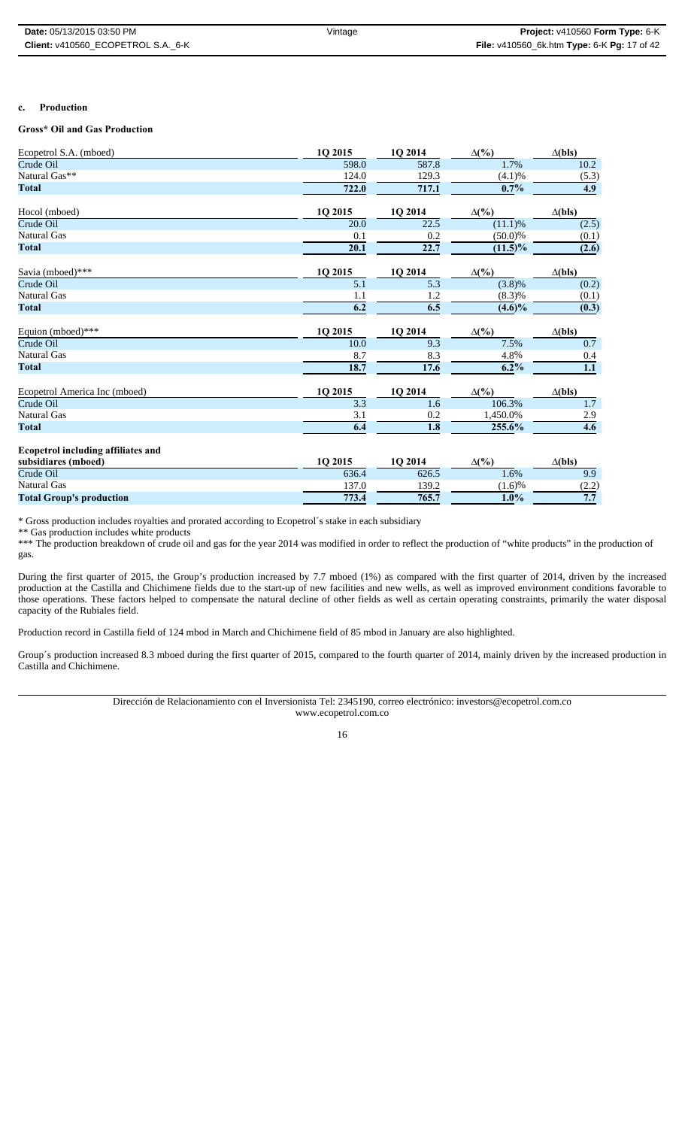### **c. Production**

# **Gross\* Oil and Gas Production**

| Ecopetrol S.A. (mboed)                    | 1Q 2015          | 1Q 2014 | $\Delta(\%)$ | $\Delta$ (bls) |
|-------------------------------------------|------------------|---------|--------------|----------------|
| Crude Oil                                 | 598.0            | 587.8   | 1.7%         | 10.2           |
| Natural Gas**                             | 124.0            | 129.3   | (4.1)%       | (5.3)          |
| <b>Total</b>                              | 722.0            | 717.1   | 0.7%         | 4.9            |
| Hocol (mboed)                             | 1Q 2015          | 1Q 2014 | $\Delta(\%)$ | $\Delta$ (bls) |
| Crude Oil                                 | 20.0             | 22.5    | $(11.1)$ %   | (2.5)          |
| <b>Natural Gas</b>                        | 0.1              | 0.2     | $(50.0)\%$   | (0.1)          |
| <b>Total</b>                              | 20.1             | 22.7    | $(11.5)\%$   | (2.6)          |
| Savia (mboed)***                          | 1Q 2015          | 1Q 2014 | $\Delta(\%)$ | $\Delta$ (bls) |
| Crude Oil                                 | $\overline{5.1}$ | 5.3     | (3.8)%       | (0.2)          |
| <b>Natural Gas</b>                        | 1.1              | 1.2     | $(8.3)\%$    | (0.1)          |
| <b>Total</b>                              | 6.2              | 6.5     | $(4.6)\%$    | (0.3)          |
| Equion (mboed)***                         | 1Q 2015          | 1Q 2014 | $\Delta(\%)$ | $\Delta$ (bls) |
| Crude Oil                                 | 10.0             | 9.3     | 7.5%         | 0.7            |
| <b>Natural Gas</b>                        | 8.7              | 8.3     | 4.8%         | 0.4            |
| <b>Total</b>                              | 18.7             | 17.6    | 6.2%         | 1.1            |
| Ecopetrol America Inc (mboed)             | 1Q 2015          | 1Q 2014 | $\Delta(\%)$ | $\Delta$ (bls) |
| Crude Oil                                 | $\overline{3.3}$ | 1.6     | 106.3%       | $1.7\,$        |
| <b>Natural Gas</b>                        | 3.1              | 0.2     | 1,450.0%     | 2.9            |
| <b>Total</b>                              | 6.4              | 1.8     | 255.6%       | 4.6            |
| <b>Ecopetrol including affiliates and</b> |                  |         |              |                |
| subsidiares (mboed)                       | 1Q 2015          | 1Q 2014 | $\Delta(\%)$ | $\Delta$ (bls) |
| Crude Oil                                 | 636.4            | 626.5   | 1.6%         | 9.9            |
| <b>Natural Gas</b>                        | 137.0            | 139.2   | $(1.6)\%$    | (2.2)          |
| <b>Total Group's production</b>           | 773.4            | 765.7   | 1.0%         | 7.7            |

\* Gross production includes royalties and prorated according to Ecopetrol´s stake in each subsidiary

\*\* Gas production includes white products

\*\*\* The production breakdown of crude oil and gas for the year 2014 was modified in order to reflect the production of "white products" in the production of gas.

During the first quarter of 2015, the Group's production increased by 7.7 mboed (1%) as compared with the first quarter of 2014, driven by the increased production at the Castilla and Chichimene fields due to the start-up of new facilities and new wells, as well as improved environment conditions favorable to those operations. These factors helped to compensate the natural decline of other fields as well as certain operating constraints, primarily the water disposal capacity of the Rubiales field.

Production record in Castilla field of 124 mbod in March and Chichimene field of 85 mbod in January are also highlighted.

Group´s production increased 8.3 mboed during the first quarter of 2015, compared to the fourth quarter of 2014, mainly driven by the increased production in Castilla and Chichimene.

> Dirección de Relacionamiento con el Inversionista Tel: 2345190, correo electrónico: investors@ecopetrol.com.co www.ecopetrol.com.co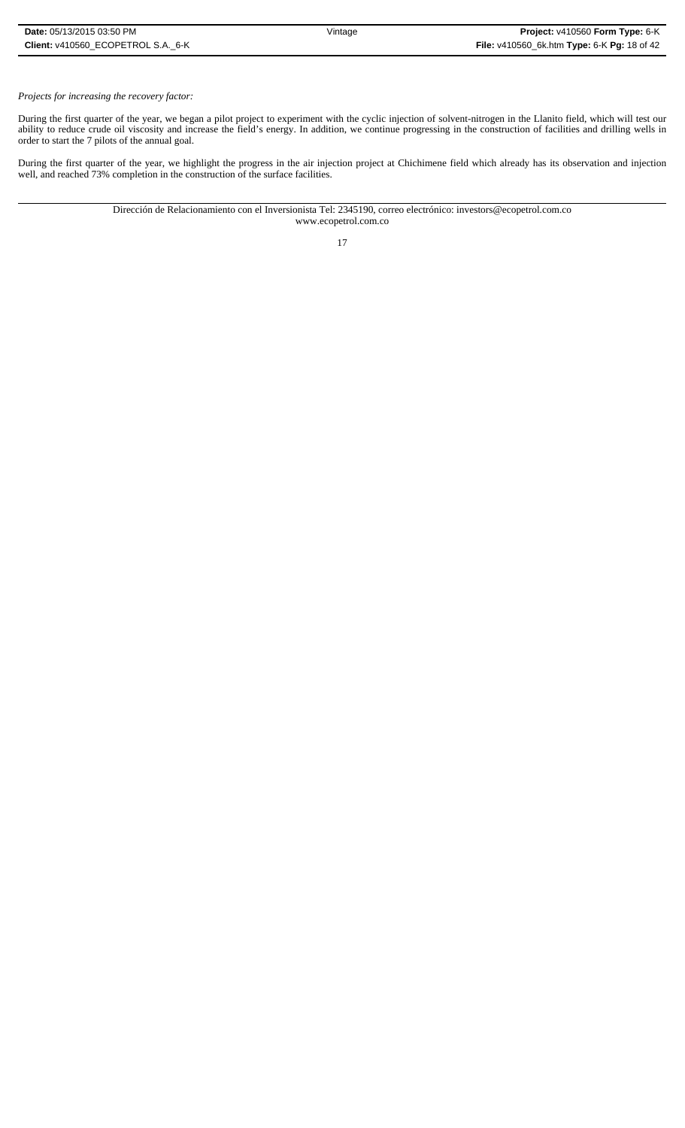# *Projects for increasing the recovery factor:*

During the first quarter of the year, we began a pilot project to experiment with the cyclic injection of solvent-nitrogen in the Llanito field, which will test our ability to reduce crude oil viscosity and increase the field's energy. In addition, we continue progressing in the construction of facilities and drilling wells in order to start the 7 pilots of the annual goal.

During the first quarter of the year, we highlight the progress in the air injection project at Chichimene field which already has its observation and injection well, and reached 73% completion in the construction of the surface facilities.

> Dirección de Relacionamiento con el Inversionista Tel: 2345190, correo electrónico: investors@ecopetrol.com.co www.ecopetrol.com.co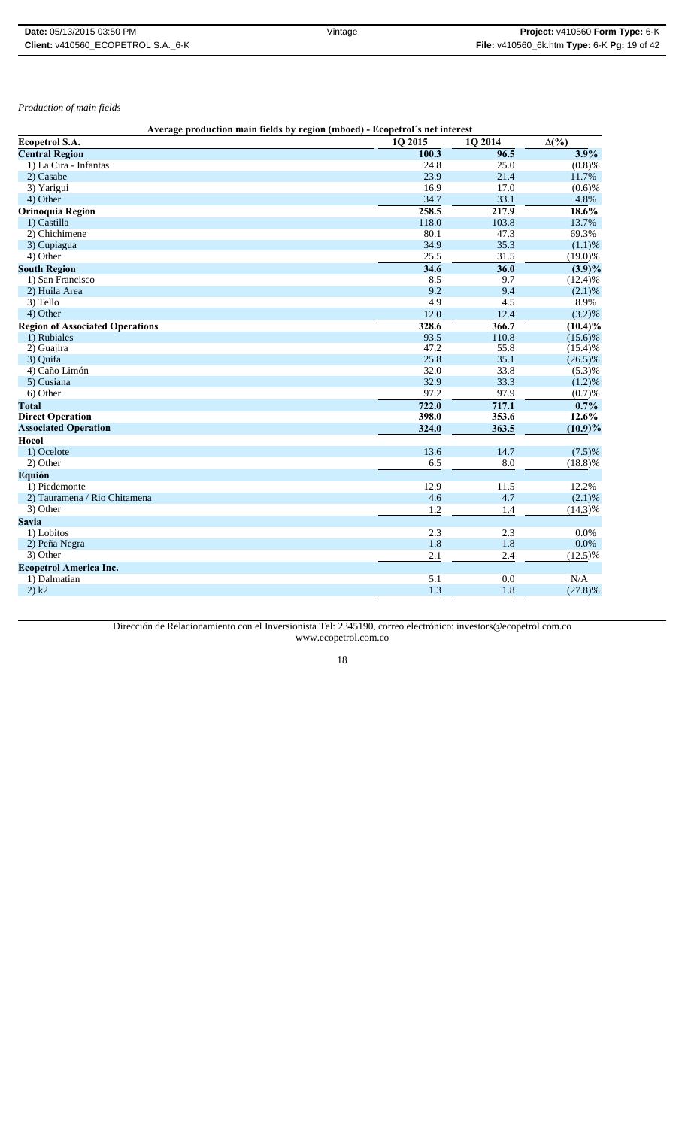| <b>Date:</b> 05/13/2015 03:50 PM   | Vintage | Project: v410560 Form Type: 6-K             |
|------------------------------------|---------|---------------------------------------------|
| Client: v410560 ECOPETROL S.A. 6-K |         | File: v410560_6k.htm Type: 6-K Pg: 19 of 42 |

*Production of main fields*

|                                        | Average production main fields by region (mboed) - Ecopetrol's net interest |         |                    |
|----------------------------------------|-----------------------------------------------------------------------------|---------|--------------------|
| <b>Ecopetrol S.A.</b>                  | 1Q 2015                                                                     | 1Q 2014 | $\Delta(\%)$       |
| <b>Central Region</b>                  | 100.3                                                                       | 96.5    | 3.9%               |
| 1) La Cira - Infantas                  | 24.8                                                                        | 25.0    | (0.8)%             |
| 2) Casabe                              | 23.9                                                                        | 21.4    | 11.7%              |
| 3) Yarigui                             | 16.9                                                                        | 17.0    | (0.6)%             |
| 4) Other                               | 34.7                                                                        | 33.1    | 4.8%               |
| <b>Orinoquia Region</b>                | 258.5                                                                       | 217.9   | $18.6\%$           |
| 1) Castilla                            | 118.0                                                                       | 103.8   | 13.7%              |
| 2) Chichimene                          | 80.1                                                                        | 47.3    | 69.3%              |
| 3) Cupiagua                            | 34.9                                                                        | 35.3    | (1.1)%             |
| 4) Other                               | 25.5                                                                        | 31.5    | $(19.0)\%$         |
| <b>South Region</b>                    | 34.6                                                                        | 36.0    | $(3.9)\%$          |
| 1) San Francisco                       | 8.5                                                                         | 9.7     | (12.4)%            |
| 2) Huila Area                          | 9.2                                                                         | 9.4     | (2.1)%             |
| 3) Tello                               | 4.9                                                                         | 4.5     | 8.9%               |
| 4) Other                               | 12.0                                                                        | 12.4    | $(3.2)\%$          |
| <b>Region of Associated Operations</b> | 328.6                                                                       | 366.7   | $(10.4)\%$         |
| 1) Rubiales                            | 93.5                                                                        | 110.8   | $(15.6)\%$         |
| 2) Guajira                             | 47.2                                                                        | 55.8    | (15.4)%            |
| 3) Quifa                               | 25.8                                                                        | 35.1    | $(26.5)\%$         |
| 4) Caño Limón                          | 32.0                                                                        | 33.8    | (5.3)%             |
| 5) Cusiana                             | 32.9                                                                        | 33.3    | (1.2)%             |
| 6) Other                               | 97.2                                                                        | 97.9    | (0.7)%             |
| <b>Total</b>                           | 722.0                                                                       | 717.1   | $\overline{0.7\%}$ |
| <b>Direct Operation</b>                | 398.0                                                                       | 353.6   | 12.6%              |
| <b>Associated Operation</b>            | 324.0                                                                       | 363.5   | $(10.9)\%$         |
| Hocol                                  |                                                                             |         |                    |
| 1) Ocelote                             | 13.6                                                                        | 14.7    | (7.5)%             |
| $\overline{2}$ ) Other                 | 6.5                                                                         | 8.0     | (18.8)%            |
| Equión                                 |                                                                             |         |                    |
| 1) Piedemonte                          | 12.9                                                                        | 11.5    | 12.2%              |
| 2) Tauramena / Rio Chitamena           | 4.6                                                                         | 4.7     | (2.1)%             |
| 3) Other                               | 1.2                                                                         | 1.4     | $(14.3)\%$         |
| <b>Savia</b>                           |                                                                             |         |                    |
| 1) Lobitos                             | 2.3                                                                         | 2.3     | 0.0%               |
| 2) Peña Negra                          | 1.8                                                                         | 1.8     | 0.0%               |
| 3) Other                               | 2.1                                                                         | 2.4     | $(12.5)\%$         |
| <b>Ecopetrol America Inc.</b>          |                                                                             |         |                    |
| 1) Dalmatian                           | 5.1                                                                         | 0.0     | N/A                |
| 2) k2                                  | 1.3                                                                         | 1.8     | $(27.8)\%$         |
|                                        |                                                                             |         |                    |

Dirección de Relacionamiento con el Inversionista Tel: 2345190, correo electrónico: investors@ecopetrol.com.co www.ecopetrol.com.co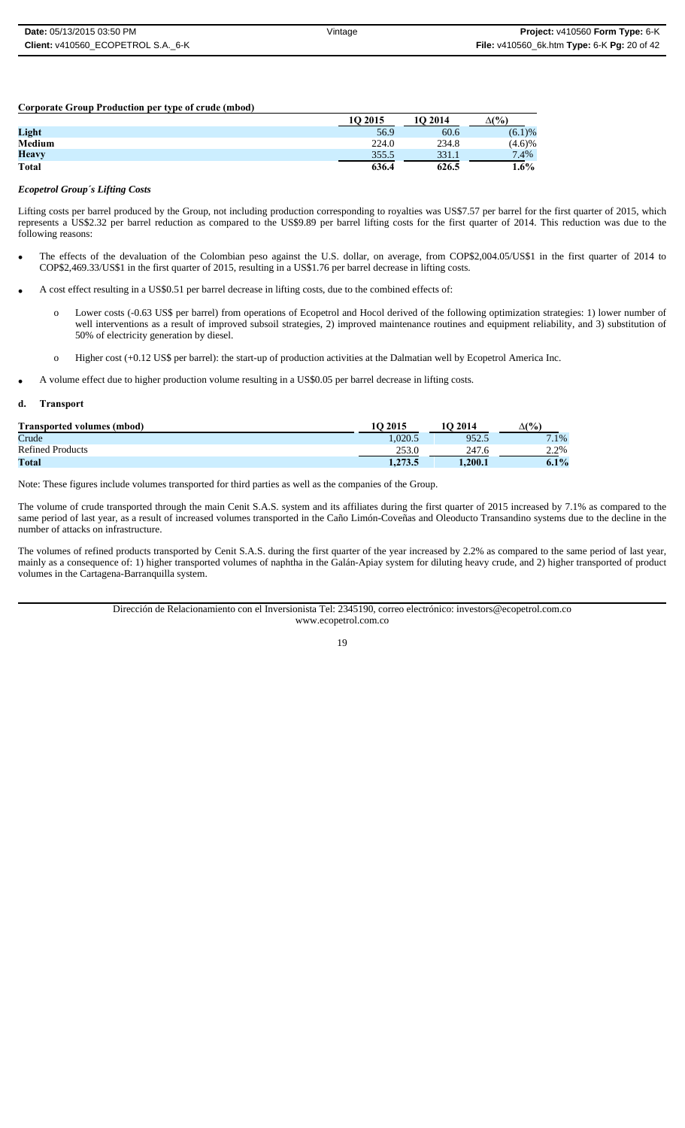**Corporate Group Production per type of crude (mbod)**

|              | 10 2015 | 10 2014 | $\Delta(\%)$ |
|--------------|---------|---------|--------------|
| Light        | 56.9    | 60.6    | (6.1)%       |
| Medium       | 224.0   | 234.8   | (4.6)%       |
| <b>Heavy</b> | 355.5   | 331.1   | 7.4%         |
| <b>Total</b> | 636.4   | 626.5   | 1.6%         |

#### *Ecopetrol Group´s Lifting Costs*

Lifting costs per barrel produced by the Group, not including production corresponding to royalties was US\$7.57 per barrel for the first quarter of 2015, which represents a US\$2.32 per barrel reduction as compared to the US\$9.89 per barrel lifting costs for the first quarter of 2014. This reduction was due to the following reasons:

- The effects of the devaluation of the Colombian peso against the U.S. dollar, on average, from COP\$2,004.05/US\$1 in the first quarter of 2014 to COP\$2,469.33/US\$1 in the first quarter of 2015, resulting in a US\$1.76 per barrel decrease in lifting costs.
- A cost effect resulting in a US\$0.51 per barrel decrease in lifting costs, due to the combined effects of:
	- o Lower costs (-0.63 US\$ per barrel) from operations of Ecopetrol and Hocol derived of the following optimization strategies: 1) lower number of well interventions as a result of improved subsoil strategies, 2) improved maintenance routines and equipment reliability, and 3) substitution of 50% of electricity generation by diesel.
	- o Higher cost (+0.12 US\$ per barrel): the start-up of production activities at the Dalmatian well by Ecopetrol America Inc.
- A volume effect due to higher production volume resulting in a US\$0.05 per barrel decrease in lifting costs.

#### **d. Transport**

| <b>Transported volumes (mbod)</b> | 10 2015 | <b>1O 2014</b> | $\Delta(\%)$           |
|-----------------------------------|---------|----------------|------------------------|
| Crude                             | .020.5  | 952.5          | $\mathbf{r}$<br>$.1\%$ |
| <b>Refined Products</b>           |         | 247.6          | 2.2%                   |
| Total                             | 1.273.5 | 1.200.1        | $6.1\%$                |

Note: These figures include volumes transported for third parties as well as the companies of the Group.

The volume of crude transported through the main Cenit S.A.S. system and its affiliates during the first quarter of 2015 increased by 7.1% as compared to the same period of last year, as a result of increased volumes transported in the Caño Limón-Coveñas and Oleoducto Transandino systems due to the decline in the number of attacks on infrastructure.

The volumes of refined products transported by Cenit S.A.S. during the first quarter of the year increased by 2.2% as compared to the same period of last year, mainly as a consequence of: 1) higher transported volumes of naphtha in the Galán-Apiay system for diluting heavy crude, and 2) higher transported of product volumes in the Cartagena-Barranquilla system.

> Dirección de Relacionamiento con el Inversionista Tel: 2345190, correo electrónico: investors@ecopetrol.com.co www.ecopetrol.com.co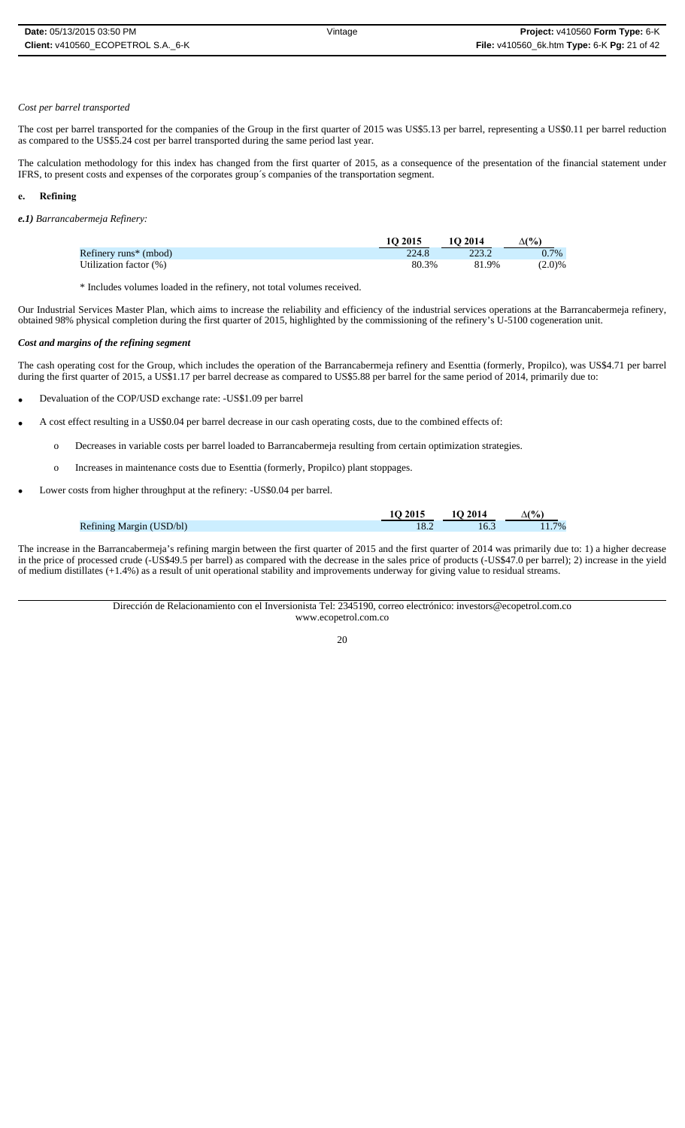# *Cost per barrel transported*

The cost per barrel transported for the companies of the Group in the first quarter of 2015 was US\$5.13 per barrel, representing a US\$0.11 per barrel reduction as compared to the US\$5.24 cost per barrel transported during the same period last year.

The calculation methodology for this index has changed from the first quarter of 2015, as a consequence of the presentation of the financial statement under IFRS, to present costs and expenses of the corporates group´s companies of the transportation segment.

# **e. Refining**

*e.1) Barrancabermeja Refinery:*

|                                   | 10 2015 | 10 2014 | $\Delta$ (%) |
|-----------------------------------|---------|---------|--------------|
| Refinery runs <sup>*</sup> (mbod) | 224.8   | 223.2   | 0.7%         |
| Utilization factor (%)            | 80.3%   | 81.9%   | (2.0)%       |

\* Includes volumes loaded in the refinery, not total volumes received.

Our Industrial Services Master Plan, which aims to increase the reliability and efficiency of the industrial services operations at the Barrancabermeja refinery, obtained 98% physical completion during the first quarter of 2015, highlighted by the commissioning of the refinery's U-5100 cogeneration unit.

# *Cost and margins of the refining segment*

The cash operating cost for the Group, which includes the operation of the Barrancabermeja refinery and Esenttia (formerly, Propilco), was US\$4.71 per barrel during the first quarter of 2015, a US\$1.17 per barrel decrease as compared to US\$5.88 per barrel for the same period of 2014, primarily due to:

- Devaluation of the COP/USD exchange rate: -US\$1.09 per barrel
- A cost effect resulting in a US\$0.04 per barrel decrease in our cash operating costs, due to the combined effects of:
	- o Decreases in variable costs per barrel loaded to Barrancabermeja resulting from certain optimization strategies.
	- o Increases in maintenance costs due to Esenttia (formerly, Propilco) plant stoppages.
- Lower costs from higher throughput at the refinery: -US\$0.04 per barrel.

|                          | 10 2015 | 10 2014 | (%)   |
|--------------------------|---------|---------|-------|
| Refining Margin (USD/bl) | 18.4    | 10.3    | $7\%$ |

The increase in the Barrancabermeja's refining margin between the first quarter of 2015 and the first quarter of 2014 was primarily due to: 1) a higher decrease in the price of processed crude (-US\$49.5 per barrel) as compared with the decrease in the sales price of products (-US\$47.0 per barrel); 2) increase in the yield of medium distillates (+1.4%) as a result of unit operational stability and improvements underway for giving value to residual streams.

> Dirección de Relacionamiento con el Inversionista Tel: 2345190, correo electrónico: investors@ecopetrol.com.co www.ecopetrol.com.co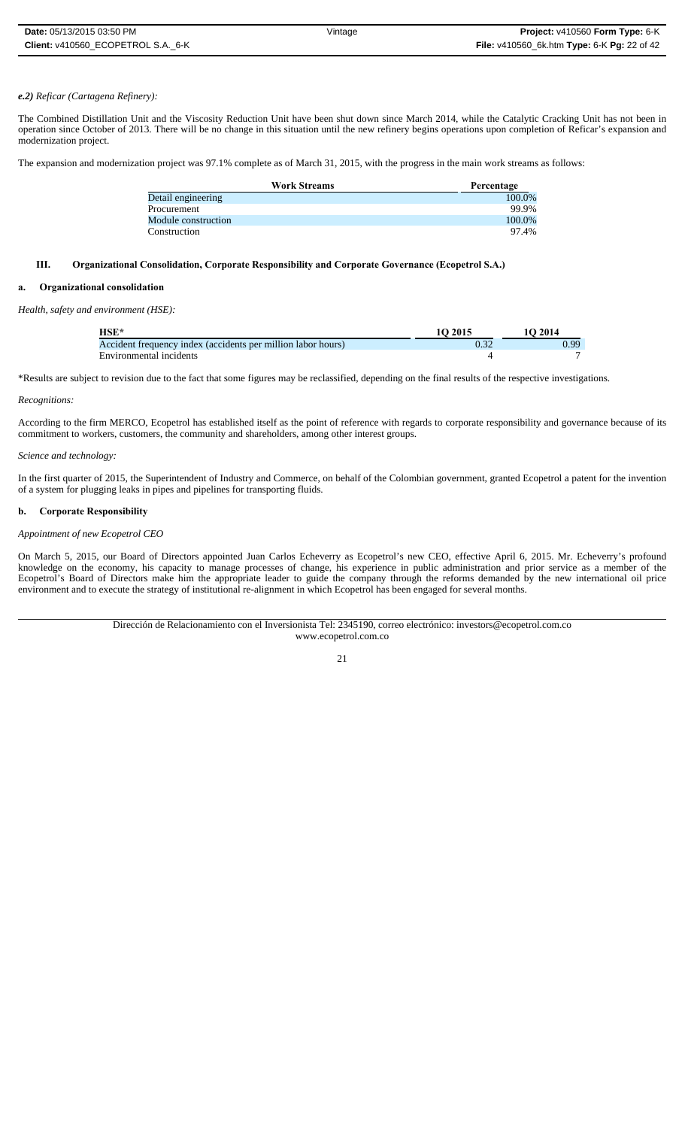## *e.2) Reficar (Cartagena Refinery):*

The Combined Distillation Unit and the Viscosity Reduction Unit have been shut down since March 2014, while the Catalytic Cracking Unit has not been in operation since October of 2013. There will be no change in this situation until the new refinery begins operations upon completion of Reficar's expansion and modernization project.

The expansion and modernization project was 97.1% complete as of March 31, 2015, with the progress in the main work streams as follows:

| <b>Work Streams</b> | Percentage |
|---------------------|------------|
| Detail engineering  | 100.0%     |
| Procurement         | 99.9%      |
| Module construction | 100.0%     |
| Construction        | 97.4%      |

# **III. Organizational Consolidation, Corporate Responsibility and Corporate Governance (Ecopetrol S.A.)**

### **a. Organizational consolidation**

*Health, safety and environment (HSE):*

| $HSE*$                                                       | 10 2015 | 1O 2014 |
|--------------------------------------------------------------|---------|---------|
| Accident frequency index (accidents per million labor hours) |         | 0.99    |
| Environmental incidents                                      |         |         |

\*Results are subject to revision due to the fact that some figures may be reclassified, depending on the final results of the respective investigations.

#### *Recognitions:*

According to the firm MERCO, Ecopetrol has established itself as the point of reference with regards to corporate responsibility and governance because of its commitment to workers, customers, the community and shareholders, among other interest groups.

#### *Science and technology:*

In the first quarter of 2015, the Superintendent of Industry and Commerce, on behalf of the Colombian government, granted Ecopetrol a patent for the invention of a system for plugging leaks in pipes and pipelines for transporting fluids.

### **b. Corporate Responsibility**

# *Appointment of new Ecopetrol CEO*

On March 5, 2015, our Board of Directors appointed Juan Carlos Echeverry as Ecopetrol's new CEO, effective April 6, 2015. Mr. Echeverry's profound knowledge on the economy, his capacity to manage processes of change, his experience in public administration and prior service as a member of the Ecopetrol's Board of Directors make him the appropriate leader to guide the company through the reforms demanded by the new international oil price environment and to execute the strategy of institutional re-alignment in which Ecopetrol has been engaged for several months.

> Dirección de Relacionamiento con el Inversionista Tel: 2345190, correo electrónico: investors@ecopetrol.com.co www.ecopetrol.com.co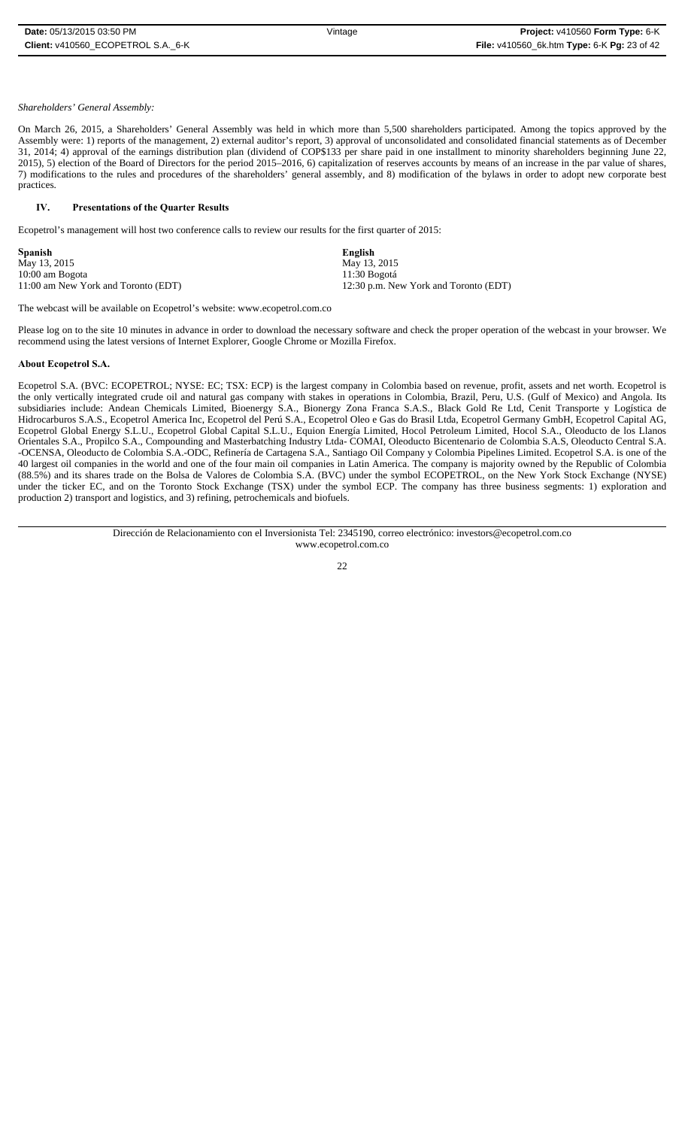# *Shareholders' General Assembly:*

On March 26, 2015, a Shareholders' General Assembly was held in which more than 5,500 shareholders participated. Among the topics approved by the Assembly were: 1) reports of the management, 2) external auditor's report, 3) approval of unconsolidated and consolidated financial statements as of December 31, 2014; 4) approval of the earnings distribution plan (dividend of COP\$133 per share paid in one installment to minority shareholders beginning June 22,  $2015$ ),  $5$ ) election of the Board of Directors for the period 2015–2016, 6) capitalization of reserves accounts by means of an increase in the par value of shares, 7) modifications to the rules and procedures of the shareholders' general assembly, and 8) modification of the bylaws in order to adopt new corporate best practices.

#### $\mathbf{W}$ **Presentations of the Quarter Results**

Ecopetrol's management will host two conference calls to review our results for the first quarter of 2015:

| English                               |
|---------------------------------------|
| May 13, 2015                          |
| 11:30 Bogotá                          |
| 12:30 p.m. New York and Toronto (EDT) |
|                                       |

The webcast will be available on Ecopetrol's website: www.ecopetrol.com.co

Please log on to the site 10 minutes in advance in order to download the necessary software and check the proper operation of the webcast in your browser. We recommend using the latest versions of Internet Explorer, Google Chrome or Mozilla Firefox.

# **About Ecopetrol S.A.**

Ecopetrol S.A. (BVC: ECOPETROL; NYSE: EC; TSX: ECP) is the largest company in Colombia based on revenue, profit, assets and net worth. Ecopetrol is the only vertically integrated crude oil and natural gas company with stakes in operations in Colombia, Brazil, Peru, U.S. (Gulf of Mexico) and Angola. Its subsidiaries include: Andean Chemicals Limited, Bioenergy S.A., Bionergy Zona Franca S.A.S., Black Gold Re Ltd, Cenit Transporte y Logística de Hidrocarburos S.A.S., Ecopetrol America Inc, Ecopetrol del Perú S.A., Ecopetrol Oleo e Gas do Brasil Ltda, Ecopetrol Germany GmbH, Ecopetrol Capital AG, Ecopetrol Global Energy S.L.U., Ecopetrol Global Capital S.L.U., Equion Energía Limited, Hocol Petroleum Limited, Hocol S.A., Oleoducto de los Llanos Orientales S.A., Propilco S.A., Compounding and Masterbatching Industry Ltda- COMAI, Oleoducto Bicentenario de Colombia S.A.S, Oleoducto Central S.A. -OCENSA, Oleoducto de Colombia S.A.-ODC, Refinería de Cartagena S.A., Santiago Oil Company y Colombia Pipelines Limited. Ecopetrol S.A. is one of the 40 largest oil companies in the world and one of the four main oil companies in Latin America. The company is majority owned by the Republic of Colombia (88.5%) and its shares trade on the Bolsa de Valores de Colombia S.A. (BVC) under the symbol ECOPETROL, on the New York Stock Exchange (NYSE) under the ticker EC, and on the Toronto Stock Exchange (TSX) under the symbol ECP. The company has three business segments: 1) exploration and production 2) transport and logistics, and 3) refining, petrochemicals and biofuels.

> Dirección de Relacionamiento con el Inversionista Tel: 2345190, correo electrónico: investors@ecopetrol.com.co www.ecopetrol.com.co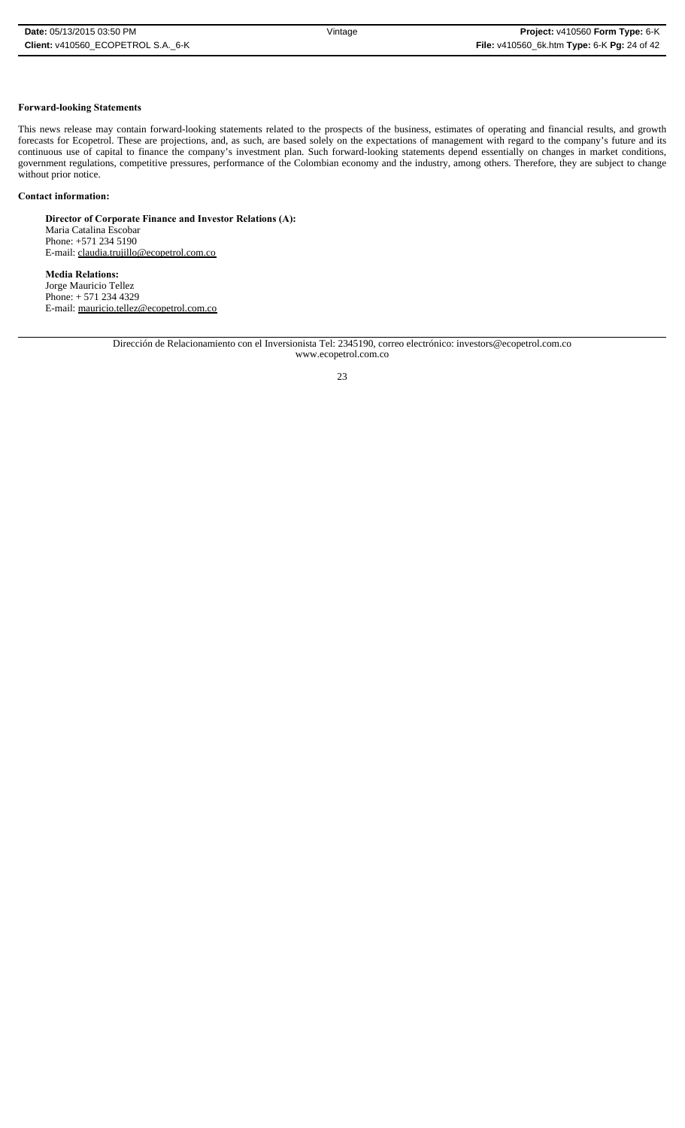# **Forward-looking Statements**

This news release may contain forward-looking statements related to the prospects of the business, estimates of operating and financial results, and growth forecasts for Ecopetrol. These are projections, and, as such, are based solely on the expectations of management with regard to the company's future and its continuous use of capital to finance the company's investment plan. Such forward-looking statements depend essentially on changes in market conditions, government regulations, competitive pressures, performance of the Colombian economy and the industry, among others. Therefore, they are subject to change without prior notice.

### **Contact information:**

**Director of Corporate Finance and Investor Relations (A):** Maria Catalina Escobar Phone: +571 234 5190 E-mail: claudia.trujillo@ecopetrol.com.co

**Media Relations:** Jorge Mauricio Tellez Phone: + 571 234 4329 E-mail: mauricio.tellez@ecopetrol.com.co

> Dirección de Relacionamiento con el Inversionista Tel: 2345190, correo electrónico: investors@ecopetrol.com.co www.ecopetrol.com.co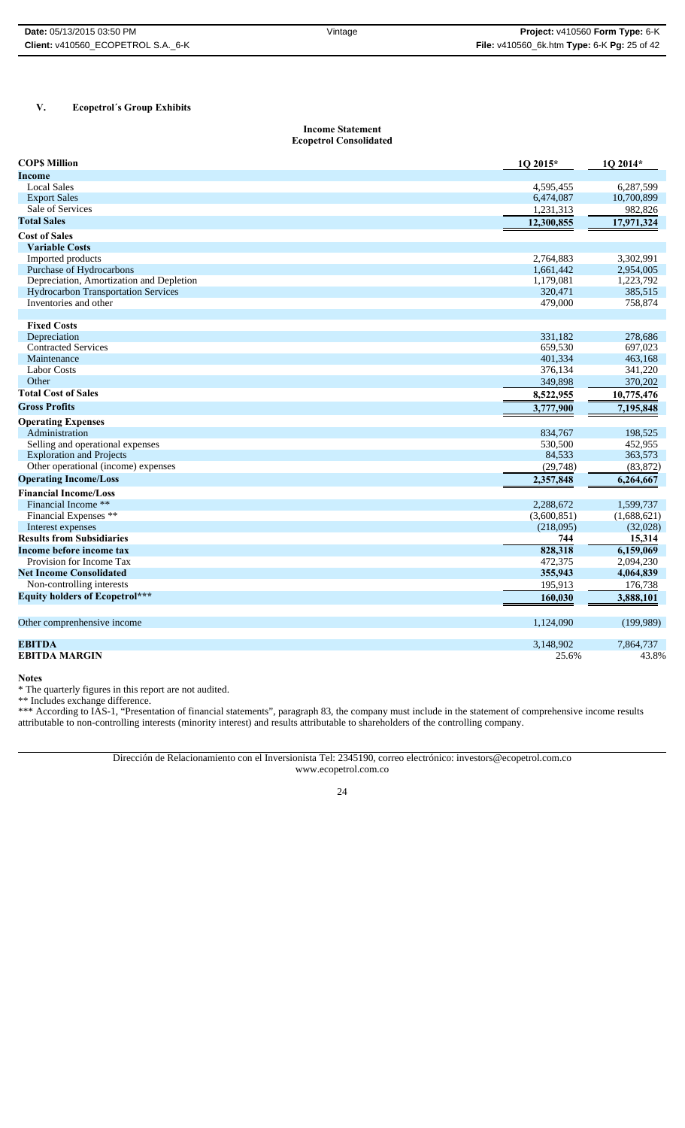# **V. Ecopetrol´s Group Exhibits**

#### **Income Statement Ecopetrol Consolidated**

| <b>COPS Million</b>                        | 1Q 2015*    | 1Q 2014*    |
|--------------------------------------------|-------------|-------------|
| Income                                     |             |             |
| <b>Local Sales</b>                         | 4,595,455   | 6,287,599   |
| <b>Export Sales</b>                        | 6,474,087   | 10,700,899  |
| Sale of Services                           | 1,231,313   | 982,826     |
| <b>Total Sales</b>                         | 12,300,855  | 17,971,324  |
| <b>Cost of Sales</b>                       |             |             |
| <b>Variable Costs</b>                      |             |             |
| Imported products                          | 2,764,883   | 3,302,991   |
| Purchase of Hydrocarbons                   | 1,661,442   | 2,954,005   |
| Depreciation, Amortization and Depletion   | 1,179,081   | 1,223,792   |
| <b>Hydrocarbon Transportation Services</b> | 320,471     | 385,515     |
| Inventories and other                      | 479,000     | 758,874     |
|                                            |             |             |
| <b>Fixed Costs</b><br>Depreciation         | 331,182     | 278,686     |
| <b>Contracted Services</b>                 | 659,530     | 697,023     |
| Maintenance                                | 401,334     | 463,168     |
| <b>Labor Costs</b>                         | 376,134     | 341,220     |
| Other                                      | 349,898     | 370,202     |
| <b>Total Cost of Sales</b>                 | 8,522,955   | 10,775,476  |
| <b>Gross Profits</b>                       | 3,777,900   | 7,195,848   |
| <b>Operating Expenses</b>                  |             |             |
| Administration                             | 834,767     | 198,525     |
| Selling and operational expenses           | 530,500     | 452,955     |
| <b>Exploration and Projects</b>            | 84,533      | 363,573     |
| Other operational (income) expenses        | (29, 748)   | (83, 872)   |
| <b>Operating Income/Loss</b>               | 2,357,848   | 6,264,667   |
| <b>Financial Income/Loss</b>               |             |             |
| Financial Income **                        | 2,288,672   | 1,599,737   |
| Financial Expenses **                      | (3,600,851) | (1,688,621) |
| Interest expenses                          | (218,095)   | (32,028)    |
| <b>Results from Subsidiaries</b>           | 744         | 15,314      |
| Income before income tax                   | 828,318     | 6,159,069   |
| Provision for Income Tax                   | 472,375     | 2,094,230   |
| <b>Net Income Consolidated</b>             | 355,943     | 4,064,839   |
| Non-controlling interests                  | 195,913     | 176,738     |
| <b>Equity holders of Ecopetrol***</b>      | 160,030     | 3,888,101   |
|                                            |             |             |
| Other comprenhensive income                | 1,124,090   | (199, 989)  |
| <b>EBITDA</b>                              | 3.148.902   | 7,864,737   |
| <b>EBITDA MARGIN</b>                       | 25.6%       | 43.8%       |

**Notes**

\* The quarterly figures in this report are not audited.

\*\* Includes exchange difference.

\*\*\* According to IAS-1, "Presentation of financial statements", paragraph 83, the company must include in the statement of comprehensive income results attributable to non-controlling interests (minority interest) and results attributable to shareholders of the controlling company.

> Dirección de Relacionamiento con el Inversionista Tel: 2345190, correo electrónico: investors@ecopetrol.com.co www.ecopetrol.com.co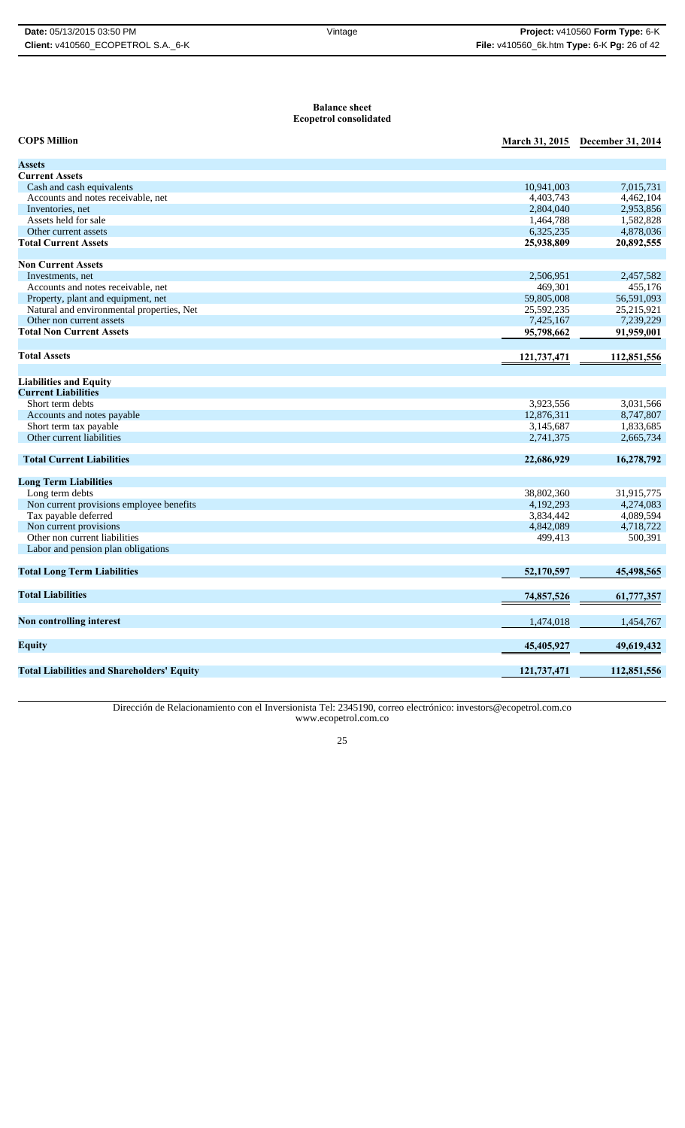#### **Balance sheet Ecopetrol consolidated**

| <b>COPS Million</b>                               | <b>March 31, 2015</b> | December 31, 2014 |
|---------------------------------------------------|-----------------------|-------------------|
| <b>Assets</b>                                     |                       |                   |
| <b>Current Assets</b>                             |                       |                   |
| Cash and cash equivalents                         | 10,941,003            | 7,015,731         |
| Accounts and notes receivable, net                | 4,403,743             | 4,462,104         |
| Inventories, net                                  | 2,804,040             | 2,953,856         |
| Assets held for sale                              | 1,464,788             | 1,582,828         |
| Other current assets                              | 6,325,235             | 4,878,036         |
| <b>Total Current Assets</b>                       | 25,938,809            | 20,892,555        |
|                                                   |                       |                   |
| <b>Non Current Assets</b>                         |                       |                   |
| Investments, net                                  | 2,506,951             | 2,457,582         |
| Accounts and notes receivable, net                | 469,301               | 455,176           |
| Property, plant and equipment, net                | 59,805,008            | 56,591,093        |
| Natural and environmental properties, Net         | 25,592,235            | 25,215,921        |
| Other non current assets                          | 7,425,167             | 7,239,229         |
| <b>Total Non Current Assets</b>                   | 95,798,662            | 91,959,001        |
| <b>Total Assets</b>                               | 121,737,471           | 112,851,556       |
|                                                   |                       |                   |
| <b>Liabilities and Equity</b>                     |                       |                   |
| <b>Current Liabilities</b>                        |                       |                   |
| Short term debts                                  | 3,923,556             | 3,031,566         |
| Accounts and notes payable                        | 12,876,311            | 8,747,807         |
| Short term tax payable                            | 3,145,687             | 1,833,685         |
| Other current liabilities                         | 2,741,375             | 2,665,734         |
| <b>Total Current Liabilities</b>                  | 22,686,929            | 16,278,792        |
|                                                   |                       |                   |
| <b>Long Term Liabilities</b>                      |                       |                   |
| Long term debts                                   | 38,802,360            | 31,915,775        |
| Non current provisions employee benefits          | 4,192,293             | 4,274,083         |
| Tax payable deferred                              | 3,834,442             | 4,089,594         |
| Non current provisions                            | 4,842,089             | 4,718,722         |
| Other non current liabilities                     | 499,413               | 500,391           |
| Labor and pension plan obligations                |                       |                   |
| <b>Total Long Term Liabilities</b>                | 52,170,597            | 45,498,565        |
| <b>Total Liabilities</b>                          | 74,857,526            | 61,777,357        |
|                                                   |                       |                   |
| <b>Non controlling interest</b>                   | 1,474,018             | 1,454,767         |
| <b>Equity</b>                                     | 45,405,927            | 49,619,432        |
|                                                   |                       | 112,851,556       |
| <b>Total Liabilities and Shareholders' Equity</b> | 121,737,471           |                   |

Dirección de Relacionamiento con el Inversionista Tel: 2345190, correo electrónico: investors@ecopetrol.com.co www.ecopetrol.com.co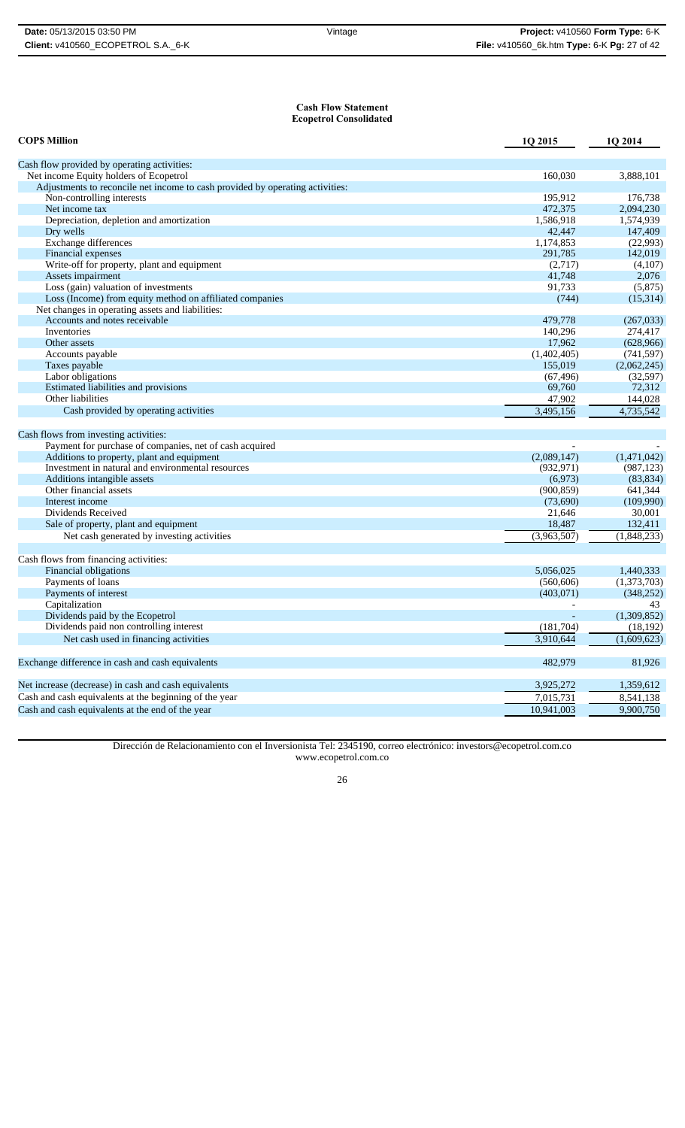#### **Cash Flow Statement Ecopetrol Consolidated**

| <b>COPS Million</b>                                                           | 1Q 2015     | 1Q 2014     |
|-------------------------------------------------------------------------------|-------------|-------------|
| Cash flow provided by operating activities:                                   |             |             |
| Net income Equity holders of Ecopetrol                                        | 160,030     | 3,888,101   |
| Adjustments to reconcile net income to cash provided by operating activities: |             |             |
| Non-controlling interests                                                     | 195,912     | 176,738     |
| Net income tax                                                                | 472,375     | 2,094,230   |
| Depreciation, depletion and amortization                                      | 1,586,918   | 1,574,939   |
| Dry wells                                                                     | 42,447      | 147,409     |
| Exchange differences                                                          | 1,174,853   | (22,993)    |
| Financial expenses                                                            | 291,785     | 142,019     |
| Write-off for property, plant and equipment                                   | (2,717)     | (4,107)     |
| Assets impairment                                                             | 41,748      | 2,076       |
| Loss (gain) valuation of investments                                          | 91,733      | (5,875)     |
| Loss (Income) from equity method on affiliated companies                      | (744)       | (15,314)    |
| Net changes in operating assets and liabilities:                              |             |             |
| Accounts and notes receivable                                                 | 479,778     | (267,033)   |
| Inventories                                                                   | 140,296     | 274,417     |
| Other assets                                                                  | 17,962      | (628,966)   |
| Accounts payable                                                              | (1,402,405) | (741, 597)  |
| Taxes payable                                                                 | 155,019     | (2,062,245) |
| Labor obligations                                                             | (67, 496)   | (32, 597)   |
| Estimated liabilities and provisions                                          | 69,760      | 72,312      |
| Other liabilities                                                             | 47,902      | 144,028     |
| Cash provided by operating activities                                         | 3,495,156   | 4,735,542   |
| Cash flows from investing activities:                                         |             |             |
| Payment for purchase of companies, net of cash acquired                       |             |             |
| Additions to property, plant and equipment                                    | (2,089,147) | (1,471,042) |
| Investment in natural and environmental resources                             | (932, 971)  | (987, 123)  |
| Additions intangible assets                                                   | (6,973)     | (83, 834)   |
| Other financial assets                                                        | (900, 859)  | 641,344     |
| Interest income                                                               | (73,690)    | (109,990)   |
| Dividends Received                                                            | 21,646      | 30,001      |
| Sale of property, plant and equipment                                         | 18,487      | 132,411     |
| Net cash generated by investing activities                                    | (3,963,507) | (1,848,233) |
| Cash flows from financing activities:                                         |             |             |
| Financial obligations                                                         | 5,056,025   | 1,440,333   |
| Payments of loans                                                             | (560, 606)  | (1,373,703) |
| Payments of interest                                                          | (403, 071)  | (348, 252)  |
| Capitalization                                                                |             | 43          |
| Dividends paid by the Ecopetrol                                               |             | (1,309,852) |
| Dividends paid non controlling interest                                       | (181,704)   | (18, 192)   |
| Net cash used in financing activities                                         | 3,910,644   | (1,609,623) |
|                                                                               |             |             |
| Exchange difference in cash and cash equivalents                              | 482,979     | 81,926      |
| Net increase (decrease) in cash and cash equivalents                          | 3,925,272   | 1,359,612   |
| Cash and cash equivalents at the beginning of the year                        | 7,015,731   | 8,541,138   |
| Cash and cash equivalents at the end of the year                              | 10,941,003  | 9,900,750   |

Dirección de Relacionamiento con el Inversionista Tel: 2345190, correo electrónico: investors@ecopetrol.com.co www.ecopetrol.com.co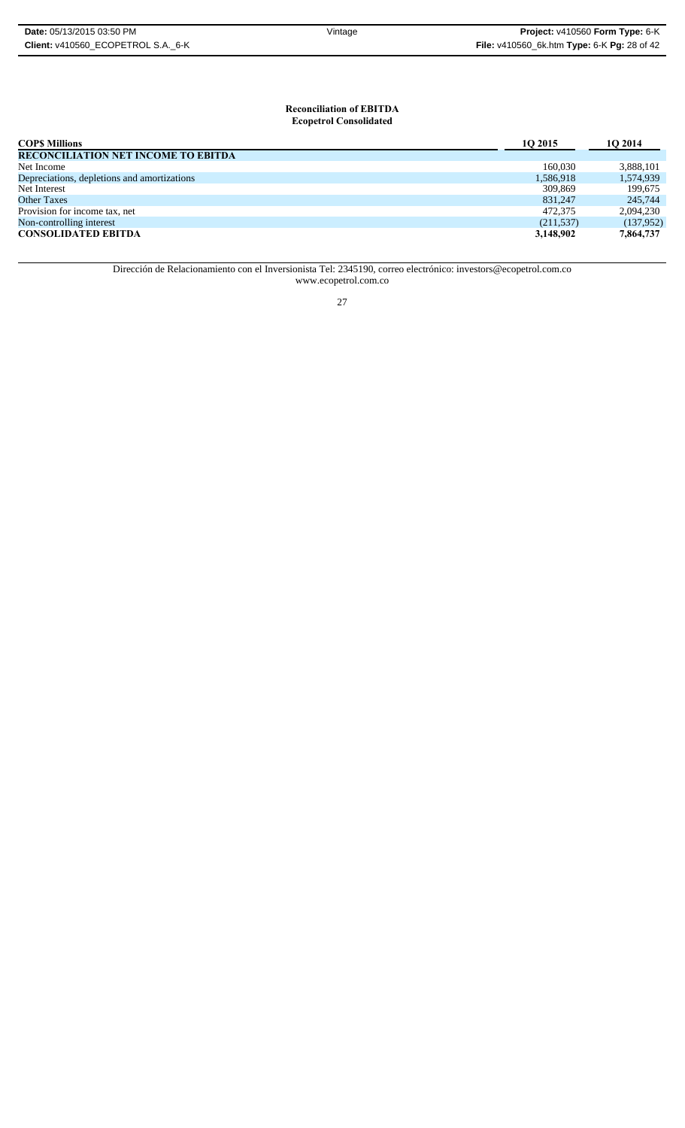# **Reconciliation of EBITDA Ecopetrol Consolidated**

| <b>COPS Millions</b>                        | 10 2015    | 10 2014   |
|---------------------------------------------|------------|-----------|
| <b>RECONCILIATION NET INCOME TO EBITDA</b>  |            |           |
| Net Income                                  | 160,030    | 3,888,101 |
| Depreciations, depletions and amortizations | 1,586,918  | 1,574,939 |
| Net Interest                                | 309,869    | 199.675   |
| <b>Other Taxes</b>                          | 831.247    | 245,744   |
| Provision for income tax, net               | 472,375    | 2,094,230 |
| Non-controlling interest                    | (211, 537) | (137,952) |
| <b>CONSOLIDATED EBITDA</b>                  | 3,148,902  | 7,864,737 |

Dirección de Relacionamiento con el Inversionista Tel: 2345190, correo electrónico: investors@ecopetrol.com.co www.ecopetrol.com.co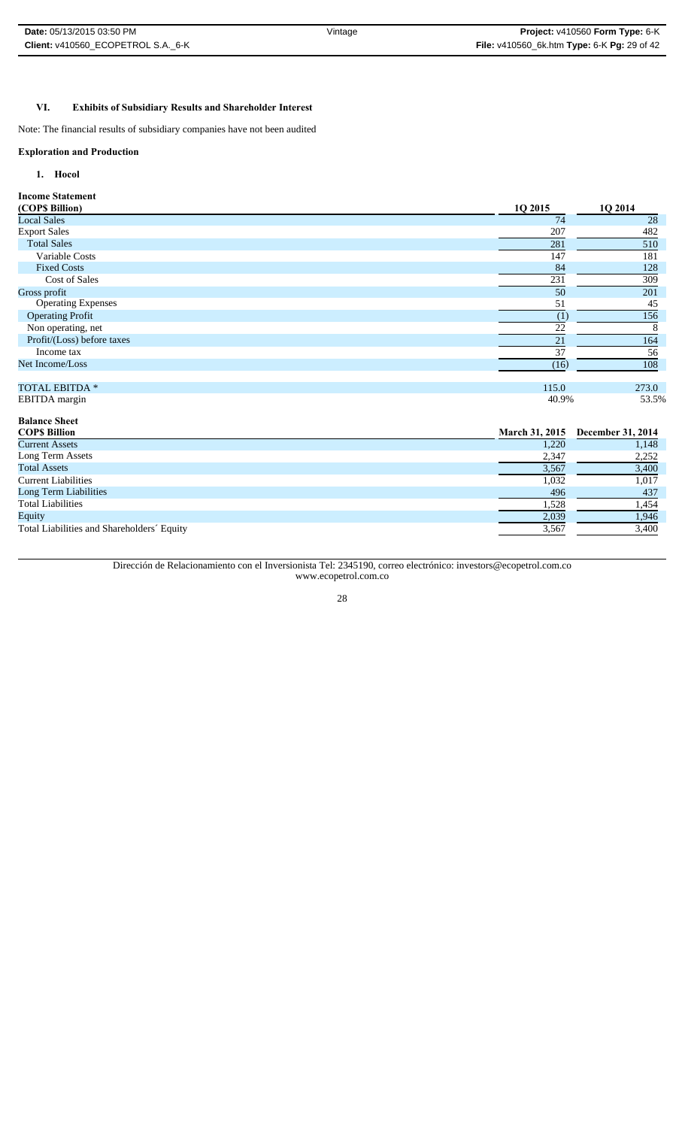# **VI. Exhibits of Subsidiary Results and Shareholder Interest**

Note: The financial results of subsidiary companies have not been audited

#### **Exploration and Production**

# **1. Hocol**

**Income Statement**

| (COP\$ Billion)            | 1Q 2015 | 1Q 2014 |
|----------------------------|---------|---------|
| <b>Local Sales</b>         | 74      | 28      |
| <b>Export Sales</b>        | 207     | 482     |
| <b>Total Sales</b>         | 281     | 510     |
| Variable Costs             | 147     | 181     |
| <b>Fixed Costs</b>         | 84      | 128     |
| Cost of Sales              | 231     | 309     |
| Gross profit               | 50      | 201     |
| <b>Operating Expenses</b>  | 51      | 45      |
| <b>Operating Profit</b>    | (1)     | 156     |
| Non operating, net         | 22      |         |
| Profit/(Loss) before taxes | 21      | 164     |
| Income tax                 | 37      | 56      |
| Net Income/Loss            | (16)    | 108     |
|                            |         |         |
| <b>TOTAL EBITDA *</b>      | 115.0   | 273.0   |
| EBITDA margin              | 40.9%   | 53.5%   |

| <b>Balance Sheet</b>                       |                       |                          |
|--------------------------------------------|-----------------------|--------------------------|
| <b>COPS Billion</b>                        | <b>March 31, 2015</b> | <b>December 31, 2014</b> |
| <b>Current Assets</b>                      | 1,220                 | 1,148                    |
| Long Term Assets                           | 2,347                 | 2,252                    |
| <b>Total Assets</b>                        | 3,567                 | 3,400                    |
| <b>Current Liabilities</b>                 | 1,032                 | 1,017                    |
| Long Term Liabilities                      | 496                   | 437                      |
| <b>Total Liabilities</b>                   | 1,528                 | 1,454                    |
| Equity                                     | 2,039                 | 1,946                    |
| Total Liabilities and Shareholders' Equity | 3,567                 | 3,400                    |

Dirección de Relacionamiento con el Inversionista Tel: 2345190, correo electrónico: investors@ecopetrol.com.co www.ecopetrol.com.co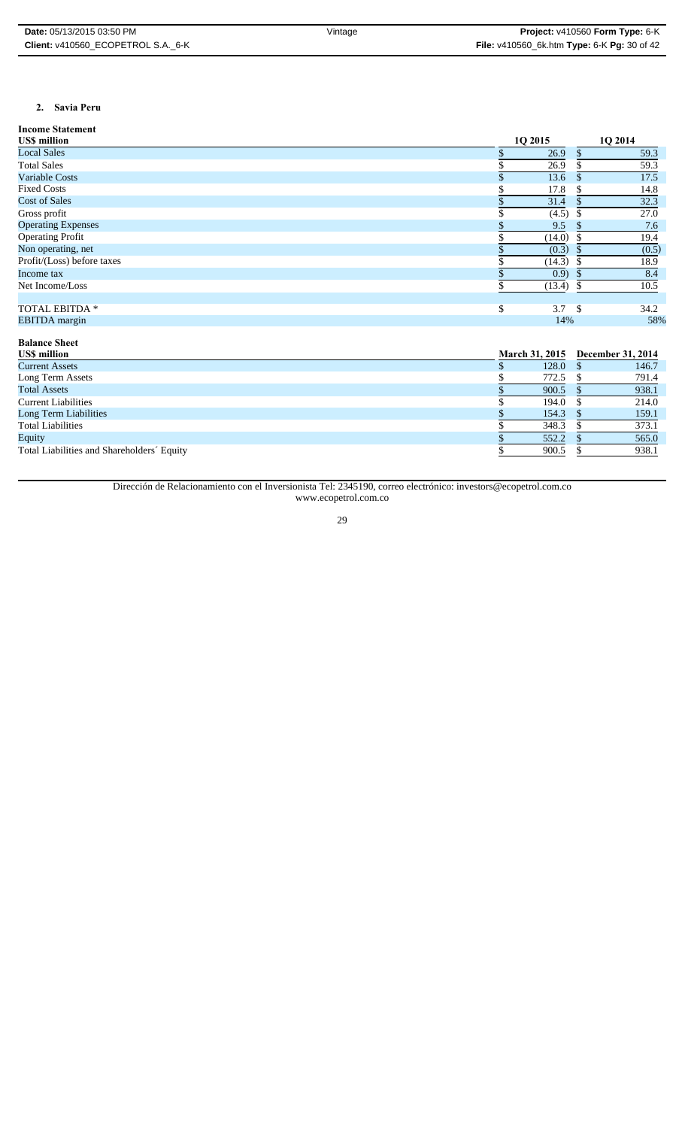# **2. Savia Peru**

| <b>Income Statement</b>    |           |     |         |
|----------------------------|-----------|-----|---------|
| US\$ million               | 10 2015   |     | 10 2014 |
| <b>Local Sales</b>         | 26.9      |     | 59.3    |
| <b>Total Sales</b>         | 26.9      |     | 59.3    |
| Variable Costs             | 13.6      |     | 17.5    |
| <b>Fixed Costs</b>         | 17.8      |     | 14.8    |
| <b>Cost of Sales</b>       | 31.4      |     | 32.3    |
| Gross profit               | (4.5)     |     | 27.0    |
| <b>Operating Expenses</b>  | 9.5       |     | 7.6     |
| <b>Operating Profit</b>    | (14.0)    |     | 19.4    |
| Non operating, net         | (0.3)     |     | (0.5)   |
| Profit/(Loss) before taxes | (14.3)    |     | 18.9    |
| Income tax                 | (0.9)     |     | 8.4     |
| Net Income/Loss            | (13.4)    |     | 10.5    |
|                            |           |     |         |
| TOTAL EBITDA *             | \$<br>3.7 | -\$ | 34.2    |
| <b>EBITDA</b> margin       | 14%       |     | 58%     |

# **Balance Sheet**

| <b>USS million</b>                         |       |  | March 31, 2015 December 31, 2014 |  |
|--------------------------------------------|-------|--|----------------------------------|--|
| <b>Current Assets</b>                      | 128.0 |  | 146.7                            |  |
| Long Term Assets                           | 772.5 |  | 791.4                            |  |
| <b>Total Assets</b>                        | 900.5 |  | 938.1                            |  |
| <b>Current Liabilities</b>                 | 194.0 |  | 214.0                            |  |
| Long Term Liabilities                      | 154.3 |  | 159.1                            |  |
| <b>Total Liabilities</b>                   | 348.3 |  | 373.1                            |  |
| Equity                                     | 552.2 |  | 565.0                            |  |
| Total Liabilities and Shareholders' Equity | 900.5 |  | 938.1                            |  |

Dirección de Relacionamiento con el Inversionista Tel: 2345190, correo electrónico: investors@ecopetrol.com.co www.ecopetrol.com.co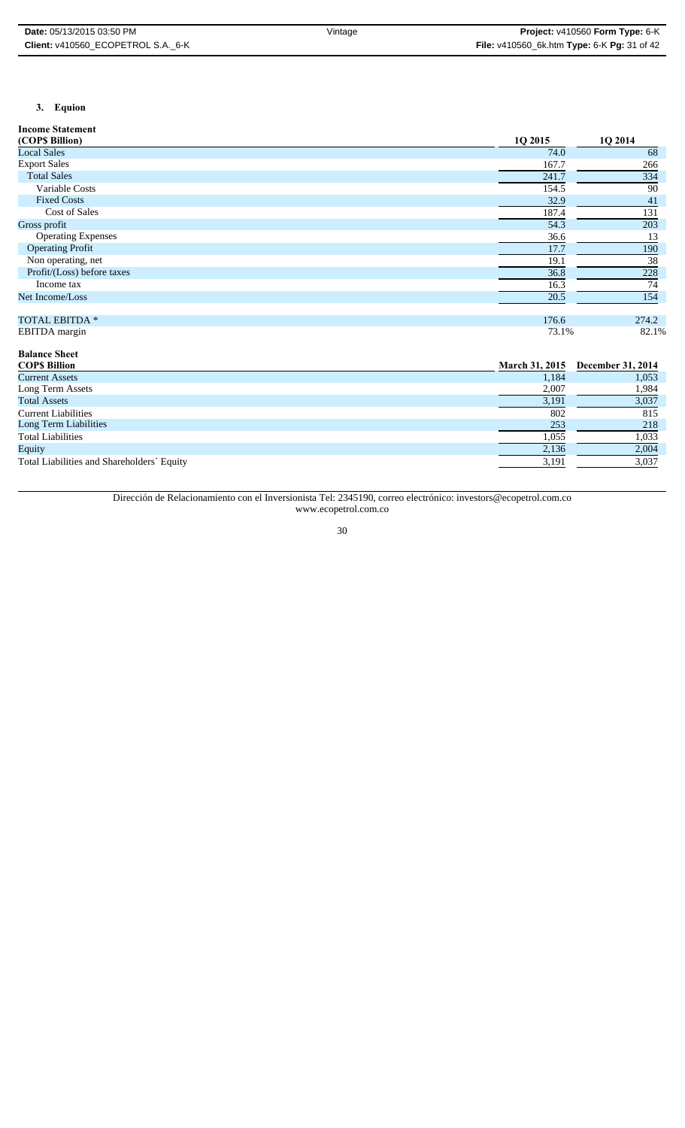# **3. Equion**

**Income Statement**

| (COPS Billion)             | 1O 2015 | 1O 2014 |
|----------------------------|---------|---------|
| <b>Local Sales</b>         | 74.0    | 68      |
| <b>Export Sales</b>        | 167.7   | 266     |
| <b>Total Sales</b>         | 241.7   | 334     |
| Variable Costs             | 154.5   | 90      |
| <b>Fixed Costs</b>         | 32.9    | 41      |
| Cost of Sales              | 187.4   | 131     |
| Gross profit               | 54.3    | 203     |
| <b>Operating Expenses</b>  | 36.6    | 13      |
| <b>Operating Profit</b>    | 17.7    | 190     |
| Non operating, net         | 19.1    | 38      |
| Profit/(Loss) before taxes | 36.8    | 228     |
| Income tax                 | 16.3    | 74      |
| Net Income/Loss            | 20.5    | 154     |
|                            |         |         |
| <b>TOTAL EBITDA *</b>      | 176.6   | 274.2   |
| <b>EBITDA</b> margin       | 73.1%   | 82.1%   |

| <b>Balance Sheet</b>                       |                       |                   |
|--------------------------------------------|-----------------------|-------------------|
| <b>COPS Billion</b>                        | <b>March 31, 2015</b> | December 31, 2014 |
| <b>Current Assets</b>                      | 1,184                 | 1,053             |
| Long Term Assets                           | 2,007                 | 1,984             |
| <b>Total Assets</b>                        | 3,191                 | 3,037             |
| <b>Current Liabilities</b>                 | 802                   | 815               |
| Long Term Liabilities                      | 253                   | 218               |
| <b>Total Liabilities</b>                   | 1,055                 | 1,033             |
| Equity                                     | 2,136                 | 2,004             |
| Total Liabilities and Shareholders' Equity | 3,191                 | 3,037             |

Dirección de Relacionamiento con el Inversionista Tel: 2345190, correo electrónico: investors@ecopetrol.com.co www.ecopetrol.com.co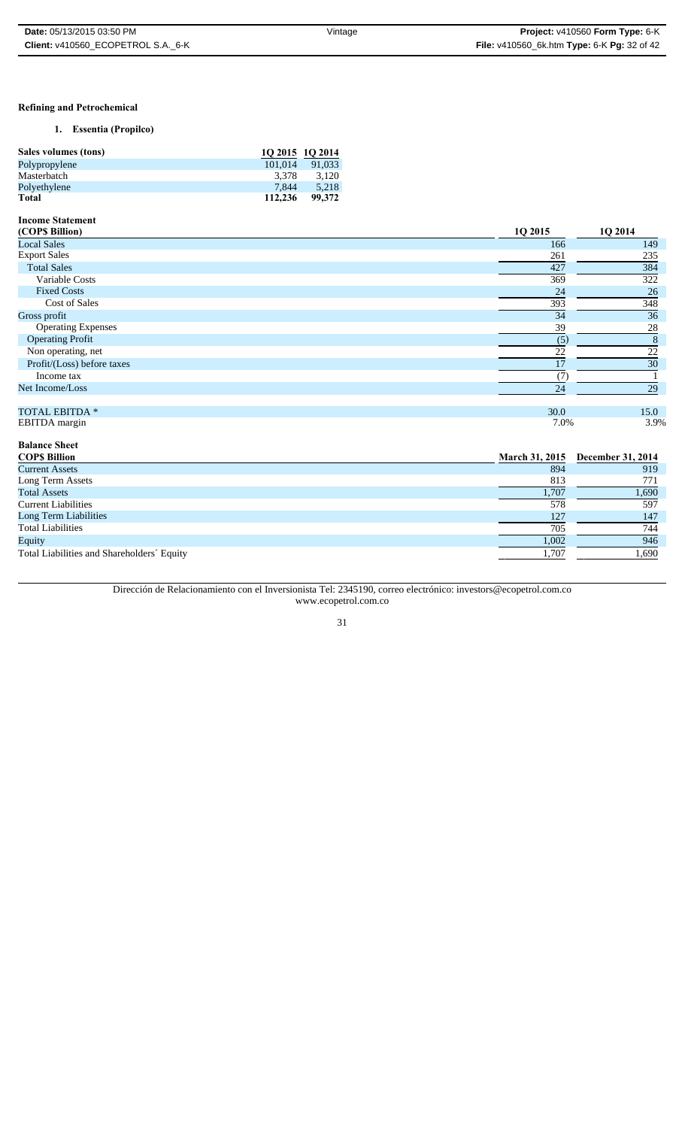### **Refining and Petrochemical**

# **1. Essentia (Propilco)**

| Sales volumes (tons) | 10 2015 10 2014 |        |
|----------------------|-----------------|--------|
| Polypropylene        | 101.014         | 91.033 |
| Masterbatch          | 3.378           | 3.120  |
| Polyethylene         | 7.844           | 5.218  |
| Total                | 112,236         | 99.372 |

# **Income Statement**

| (COP\$ Billion)            | 1Q 2015 | 1Q 2014 |
|----------------------------|---------|---------|
| <b>Local Sales</b>         | 166     | 149     |
| <b>Export Sales</b>        | 261     | 235     |
| <b>Total Sales</b>         | 427     | 384     |
| Variable Costs             | 369     | 322     |
| <b>Fixed Costs</b>         | 24      | 26      |
| Cost of Sales              | 393     | 348     |
| Gross profit               | 34      | 36      |
| <b>Operating Expenses</b>  | 39      | 28      |
| <b>Operating Profit</b>    | (5)     | 8       |
| Non operating, net         | 22      | 22      |
| Profit/(Loss) before taxes | 17      | 30      |
| Income tax                 | (7      |         |
| Net Income/Loss            | 24      | 29      |
|                            |         |         |
| <b>TOTAL EBITDA *</b>      | 30.0    | 15.0    |
| EBITDA margin              | 7.0%    | 3.9%    |

| <b>Balance Sheet</b>                       |                       |                          |
|--------------------------------------------|-----------------------|--------------------------|
| <b>COPS Billion</b>                        | <b>March 31, 2015</b> | <b>December 31, 2014</b> |
| <b>Current Assets</b>                      | 894                   | 919                      |
| Long Term Assets                           | 813                   | 771                      |
| <b>Total Assets</b>                        | 1,707                 | 1,690                    |
| <b>Current Liabilities</b>                 | 578                   | 597                      |
| Long Term Liabilities                      | 127                   | 147                      |
| <b>Total Liabilities</b>                   | 705                   | 744                      |
| Equity                                     | 1,002                 | 946                      |
| Total Liabilities and Shareholders' Equity | 1,707                 | 1,690                    |

# Dirección de Relacionamiento con el Inversionista Tel: 2345190, correo electrónico: investors@ecopetrol.com.co www.ecopetrol.com.co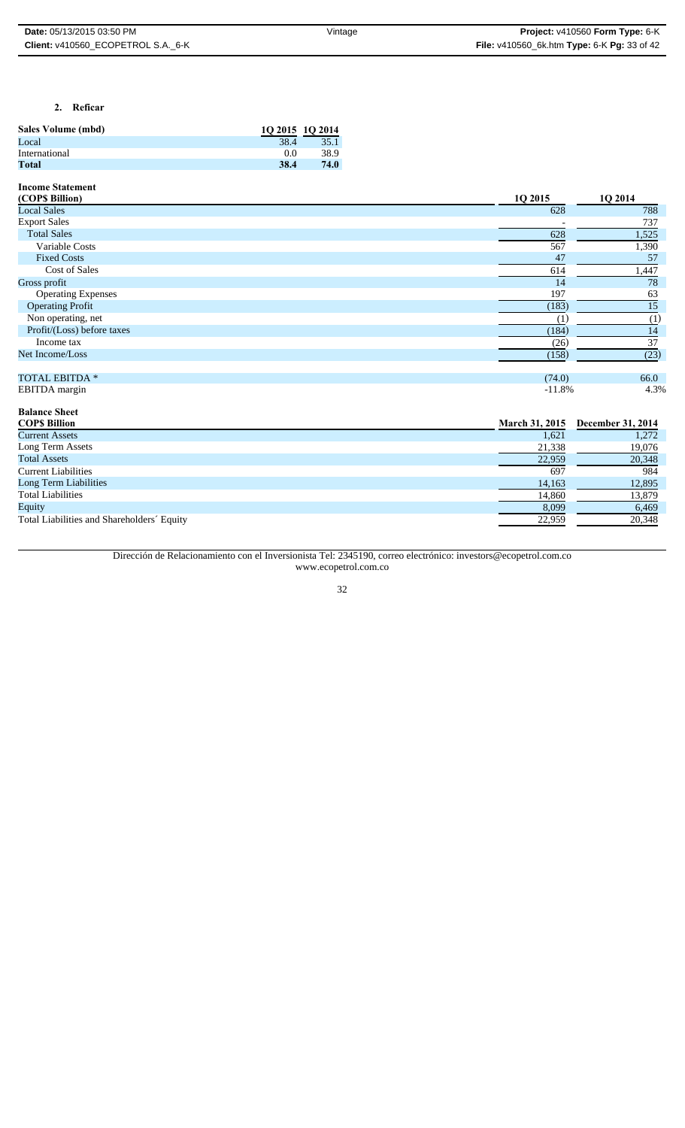# **2. Reficar**

| Sales Volume (mbd) | 10 2015 10 2014 |      |
|--------------------|-----------------|------|
| Local              | 38.4            | 35.1 |
| International      | 00              | 38.9 |
| Total              | 38.4            | 74.0 |

**Income Statement**

| (COP\$ Billion)            | 1Q 2015               | 1Q 2014           |
|----------------------------|-----------------------|-------------------|
| <b>Local Sales</b>         | 628                   | 788               |
| <b>Export Sales</b>        |                       | 737               |
| <b>Total Sales</b>         | 628                   | 1,525             |
| Variable Costs             | 567                   | 1,390             |
| <b>Fixed Costs</b>         | 47                    | 57                |
| <b>Cost of Sales</b>       | 614                   | 1,447             |
| Gross profit               | 14                    | 78                |
| <b>Operating Expenses</b>  | 197                   | 63                |
| <b>Operating Profit</b>    | (183)                 | 15                |
| Non operating, net         | (1)                   | (1)               |
| Profit/(Loss) before taxes | (184)                 | 14                |
| Income tax                 | (26)                  | 37                |
| Net Income/Loss            | (158)                 | (23)              |
|                            |                       |                   |
| <b>TOTAL EBITDA *</b>      | (74.0)                | 66.0              |
| EBITDA margin              | $-11.8%$              | 4.3%              |
| <b>Balance Sheet</b>       |                       |                   |
| <b>COPS Billion</b>        | <b>March 31, 2015</b> | December 31, 2014 |

| <b>Current Assets</b>                      | 1,621  | 1,272  |
|--------------------------------------------|--------|--------|
| Long Term Assets                           | 21,338 | 19,076 |
| <b>Total Assets</b>                        | 22,959 | 20,348 |
| <b>Current Liabilities</b>                 | 697    | 984    |
| Long Term Liabilities                      | 14,163 | 12,895 |
| <b>Total Liabilities</b>                   | 14,860 | 13,879 |
| Equity                                     | 8,099  | 6,469  |
| Total Liabilities and Shareholders' Equity | 22,959 | 20,348 |
|                                            |        |        |

Dirección de Relacionamiento con el Inversionista Tel: 2345190, correo electrónico: investors@ecopetrol.com.co www.ecopetrol.com.co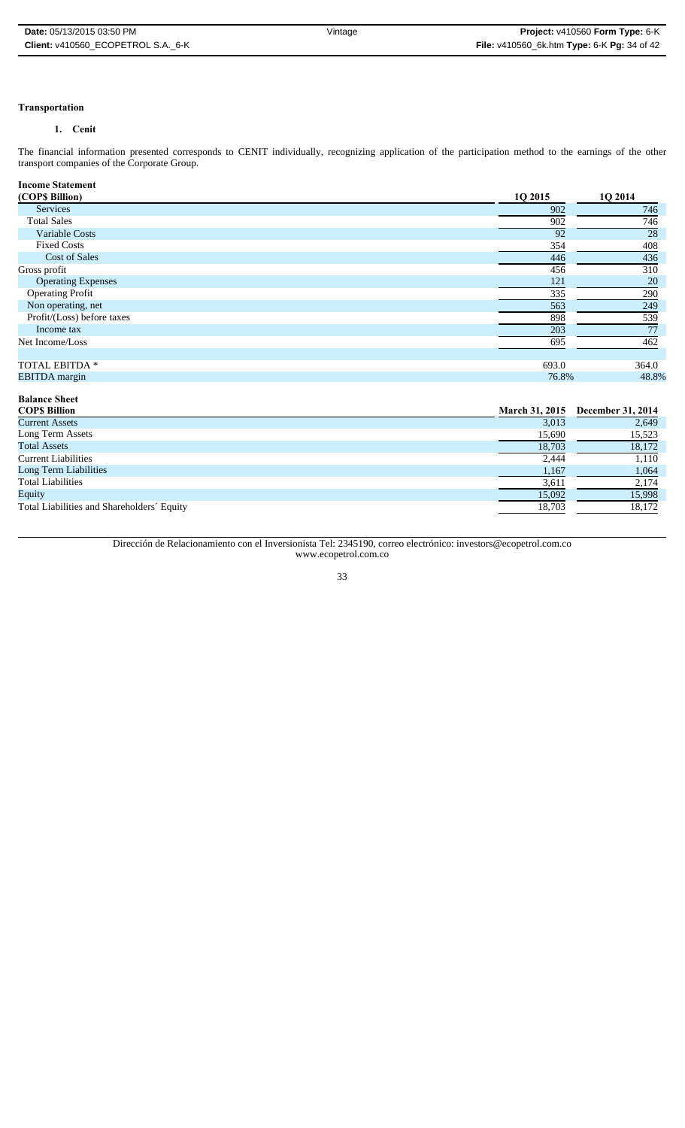# **Transportation**

# **1. Cenit**

The financial information presented corresponds to CENIT individually, recognizing application of the participation method to the earnings of the other transport companies of the Corporate Group.

| <b>Income Statement</b>    |         |         |
|----------------------------|---------|---------|
| (COPS Billion)             | 1Q 2015 | 1Q 2014 |
| Services                   | 902     | 746     |
| <b>Total Sales</b>         | 902     | 746     |
| Variable Costs             | 92      | 28      |
| <b>Fixed Costs</b>         | 354     | 408     |
| <b>Cost of Sales</b>       | 446     | 436     |
| Gross profit               | 456     | 310     |
| <b>Operating Expenses</b>  | 121     | 20      |
| <b>Operating Profit</b>    | 335     | 290     |
| Non operating, net         | 563     | 249     |
| Profit/(Loss) before taxes | 898     | 539     |
| Income tax                 | 203     | 77      |
| Net Income/Loss            | 695     | 462     |
|                            |         |         |
| TOTAL EBITDA *             | 693.0   | 364.0   |
| <b>EBITDA</b> margin       | 76.8%   | 48.8%   |

| <b>Balance Sheet</b>                       |                       |                          |
|--------------------------------------------|-----------------------|--------------------------|
| <b>COPS Billion</b>                        | <b>March 31, 2015</b> | <b>December 31, 2014</b> |
| <b>Current Assets</b>                      | 3,013                 | 2,649                    |
| Long Term Assets                           | 15,690                | 15,523                   |
| <b>Total Assets</b>                        | 18,703                | 18,172                   |
| <b>Current Liabilities</b>                 | 2,444                 | 1,110                    |
| Long Term Liabilities                      | 1,167                 | 1,064                    |
| <b>Total Liabilities</b>                   | 3,611                 | 2,174                    |
| Equity                                     | 15,092                | 15,998                   |
| Total Liabilities and Shareholders' Equity | 18,703                | 18,172                   |

Dirección de Relacionamiento con el Inversionista Tel: 2345190, correo electrónico: investors@ecopetrol.com.co www.ecopetrol.com.co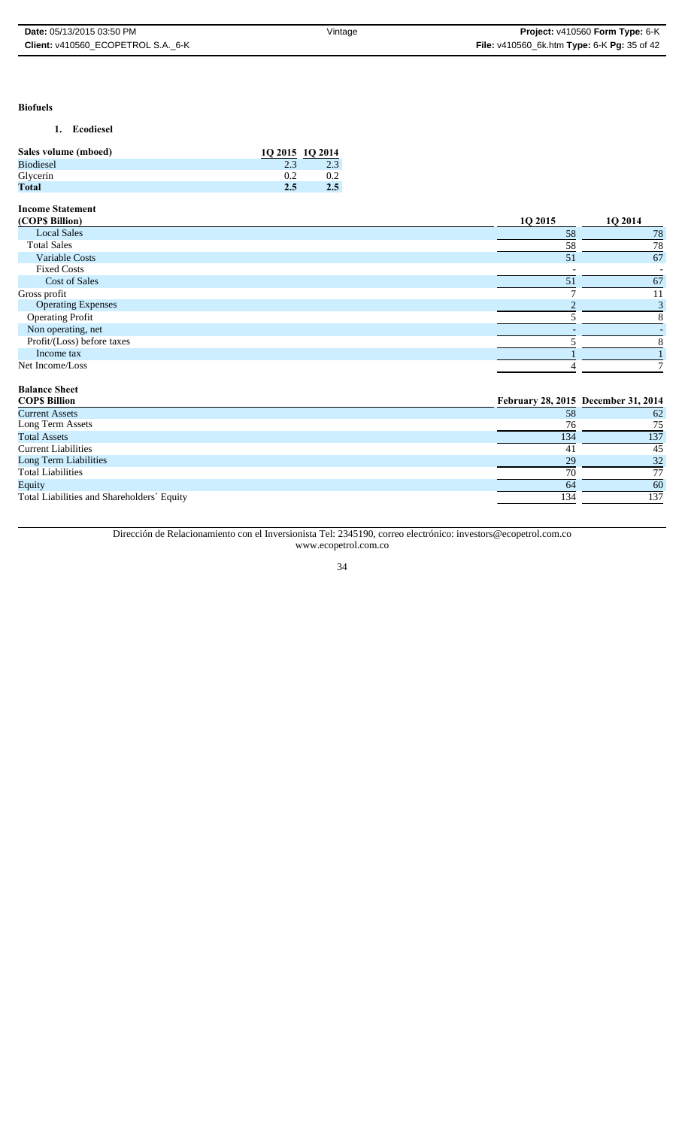#### **Biofuels**

# **1. Ecodiesel**

| Sales volume (mboed) | 10 2015 10 2014 |     |
|----------------------|-----------------|-----|
| <b>Biodiesel</b>     | 2.3             | 2.3 |
| Glycerin             | 02              | 0.2 |
| Total                | 2.5             | 2.5 |

# **Income Statement**

| (COP\$ Billion)            | 10 2015 | 1Q 2014                             |
|----------------------------|---------|-------------------------------------|
| <b>Local Sales</b>         | 58      | 78                                  |
| <b>Total Sales</b>         | 58      | 78                                  |
| Variable Costs             | 51      | 67                                  |
| <b>Fixed Costs</b>         |         |                                     |
| <b>Cost of Sales</b>       | 51      | 67                                  |
| Gross profit               |         | 11                                  |
| <b>Operating Expenses</b>  |         |                                     |
| <b>Operating Profit</b>    |         |                                     |
| Non operating, net         |         |                                     |
| Profit/(Loss) before taxes |         |                                     |
| Income tax                 |         |                                     |
| Net Income/Loss            |         |                                     |
| <b>Balance Sheet</b>       |         |                                     |
| <b>COPS Billion</b>        |         | February 28, 2015 December 31, 2014 |

| --------                                   |     |     |
|--------------------------------------------|-----|-----|
| <b>Current Assets</b>                      | 58  | 62  |
| Long Term Assets                           | 76  | 75  |
| <b>Total Assets</b>                        | 134 | 137 |
| <b>Current Liabilities</b>                 |     | 45  |
| Long Term Liabilities                      | 29  | 32  |
| <b>Total Liabilities</b>                   | 70  |     |
| Equity                                     | 64  | 60  |
| Total Liabilities and Shareholders' Equity | 134 | 137 |
|                                            |     |     |

Dirección de Relacionamiento con el Inversionista Tel: 2345190, correo electrónico: investors@ecopetrol.com.co www.ecopetrol.com.co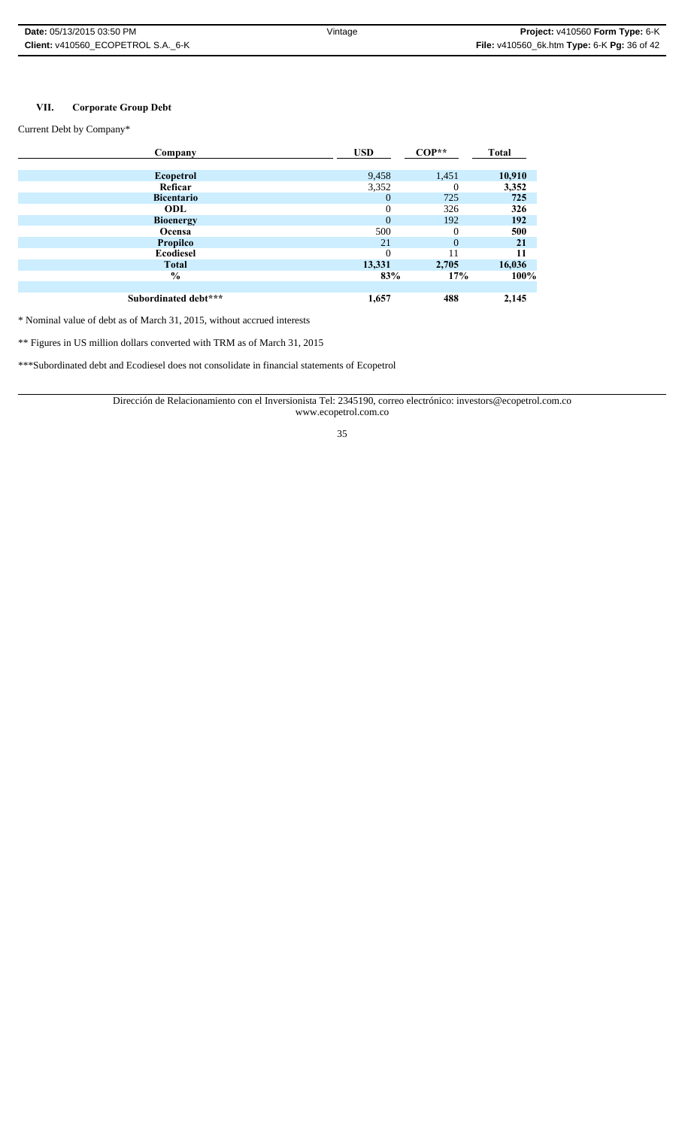# **VII. Corporate Group Debt**

Current Debt by Company\*

| Company              | <b>USD</b>     | $COP**$  | <b>Total</b> |
|----------------------|----------------|----------|--------------|
|                      |                |          |              |
| Ecopetrol            | 9,458          | 1,451    | 10,910       |
| Reficar              | 3,352          | 0        | 3,352        |
| <b>Bicentario</b>    | $\overline{0}$ | 725      | 725          |
| ODL                  | $\Omega$       | 326      | 326          |
| <b>Bioenergy</b>     | $\Omega$       | 192      | 192          |
| Ocensa               | 500            | 0        | 500          |
| <b>Propilco</b>      | 21             | $\Omega$ | 21           |
| Ecodiesel            | $\Omega$       |          | 11           |
| <b>Total</b>         | 13,331         | 2,705    | 16,036       |
| $\frac{0}{0}$        | 83%            | 17%      | 100%         |
|                      |                |          |              |
| Subordinated debt*** | 1,657          | 488      | 2,145        |

\* Nominal value of debt as of March 31, 2015, without accrued interests

\*\* Figures in US million dollars converted with TRM as of March 31, 2015

\*\*\*Subordinated debt and Ecodiesel does not consolidate in financial statements of Ecopetrol

Dirección de Relacionamiento con el Inversionista Tel: 2345190, correo electrónico: investors@ecopetrol.com.co www.ecopetrol.com.co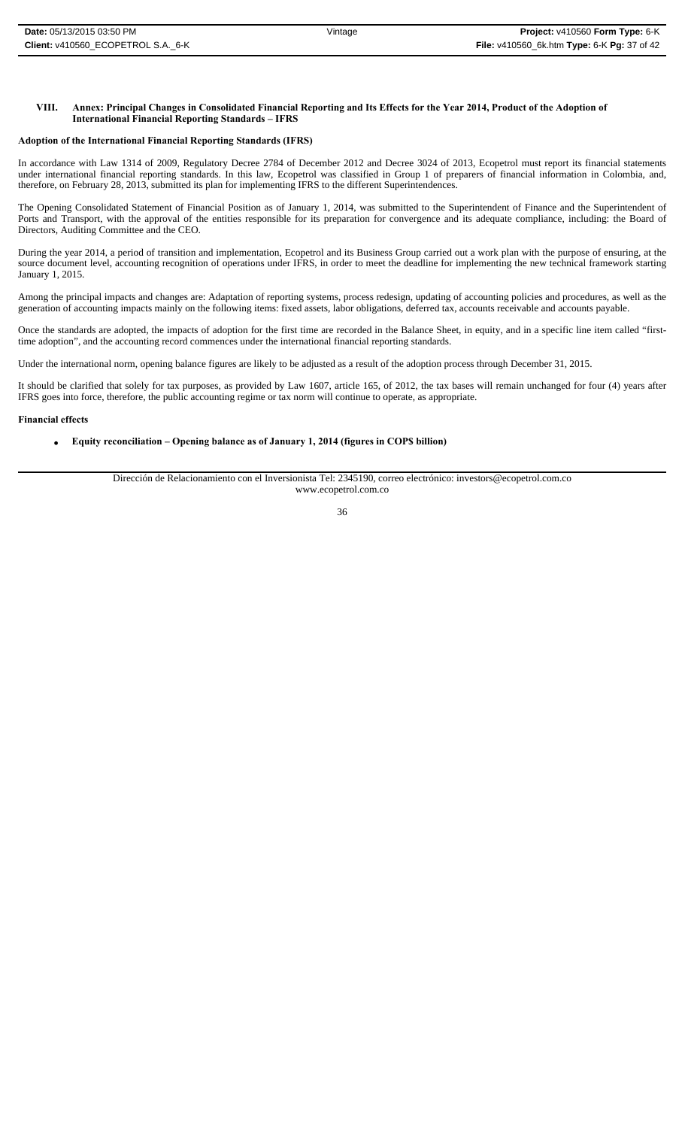### **VIII. Annex: Principal Changes in Consolidated Financial Reporting and Its Effects for the Year 2014, Product of the Adoption of International Financial Reporting Standards – IFRS**

### **Adoption of the International Financial Reporting Standards (IFRS)**

In accordance with Law 1314 of 2009, Regulatory Decree 2784 of December 2012 and Decree 3024 of 2013, Ecopetrol must report its financial statements under international financial reporting standards. In this law, Ecopetrol was classified in Group 1 of preparers of financial information in Colombia, and, therefore, on February 28, 2013, submitted its plan for implementing IFRS to the different Superintendences.

The Opening Consolidated Statement of Financial Position as of January 1, 2014, was submitted to the Superintendent of Finance and the Superintendent of Ports and Transport, with the approval of the entities responsible for its preparation for convergence and its adequate compliance, including: the Board of Directors, Auditing Committee and the CEO.

During the year 2014, a period of transition and implementation, Ecopetrol and its Business Group carried out a work plan with the purpose of ensuring, at the source document level, accounting recognition of operations under IFRS, in order to meet the deadline for implementing the new technical framework starting January 1, 2015.

Among the principal impacts and changes are: Adaptation of reporting systems, process redesign, updating of accounting policies and procedures, as well as the generation of accounting impacts mainly on the following items: fixed assets, labor obligations, deferred tax, accounts receivable and accounts payable.

Once the standards are adopted, the impacts of adoption for the first time are recorded in the Balance Sheet, in equity, and in a specific line item called "firsttime adoption", and the accounting record commences under the international financial reporting standards.

Under the international norm, opening balance figures are likely to be adjusted as a result of the adoption process through December 31, 2015.

It should be clarified that solely for tax purposes, as provided by Law 1607, article 165, of 2012, the tax bases will remain unchanged for four (4) years after IFRS goes into force, therefore, the public accounting regime or tax norm will continue to operate, as appropriate.

### **Financial effects**

### **Equity reconciliation – Opening balance as of January 1, 2014 (figures in COP\$ billion)**

Dirección de Relacionamiento con el Inversionista Tel: 2345190, correo electrónico: investors@ecopetrol.com.co www.ecopetrol.com.co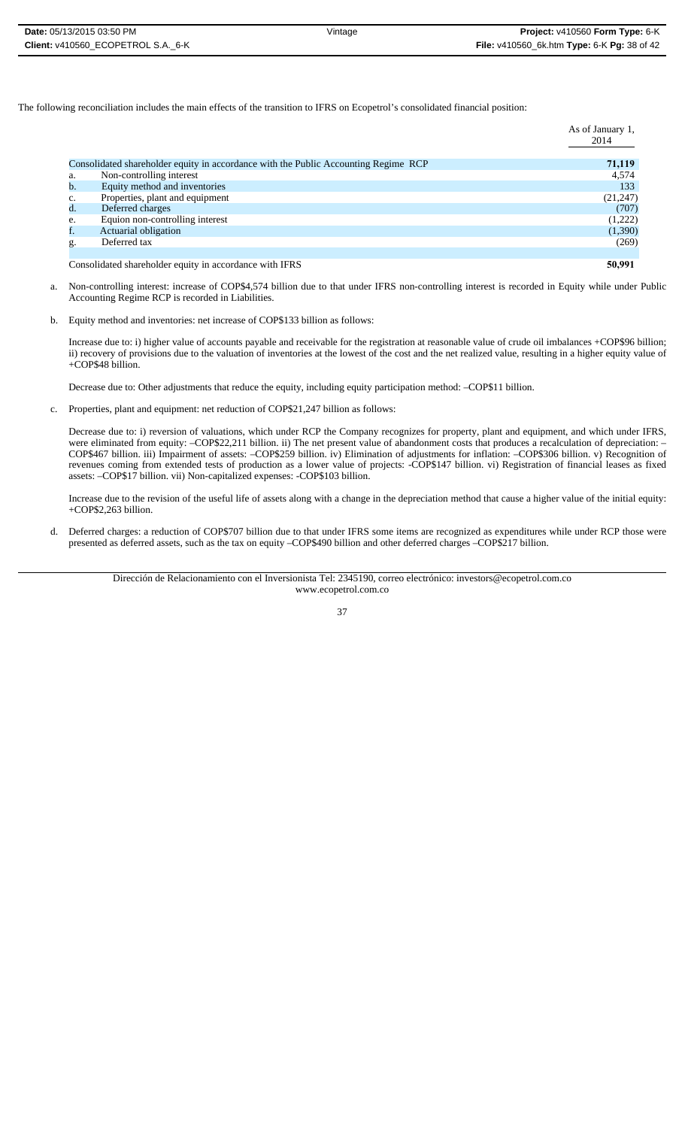| <b>Date:</b> 05/13/2015 03:50 PM   | Vintage | <b>Project:</b> $v410560$ Form Type: $6 - K$       |
|------------------------------------|---------|----------------------------------------------------|
| Client: v410560 ECOPETROL S.A. 6-K |         | <b>File:</b> v410560_6k.htm Type: 6-K Pg: 38 of 42 |

The following reconciliation includes the main effects of the transition to IFRS on Ecopetrol's consolidated financial position:

|    |                                                                                     | As of January 1,<br>2014 |
|----|-------------------------------------------------------------------------------------|--------------------------|
|    | Consolidated shareholder equity in accordance with the Public Accounting Regime RCP | 71,119                   |
| a. | Non-controlling interest                                                            | 4,574                    |
| b. | Equity method and inventories                                                       | 133                      |
| c. | Properties, plant and equipment                                                     | (21, 247)                |
| d. | Deferred charges                                                                    | (707)                    |
| e. | Equion non-controlling interest                                                     | (1,222)                  |
|    | Actuarial obligation                                                                | (1,390)                  |
| g. | Deferred tax                                                                        | (269)                    |
|    |                                                                                     |                          |
|    | Consolidated shareholder equity in accordance with IFRS                             | 50,991                   |

- a. Non-controlling interest: increase of COP\$4,574 billion due to that under IFRS non-controlling interest is recorded in Equity while under Public Accounting Regime RCP is recorded in Liabilities.
- b. Equity method and inventories: net increase of COP\$133 billion as follows:

Increase due to: i) higher value of accounts payable and receivable for the registration at reasonable value of crude oil imbalances +COP\$96 billion; ii) recovery of provisions due to the valuation of inventories at the lowest of the cost and the net realized value, resulting in a higher equity value of +COP\$48 billion.

Decrease due to: Other adjustments that reduce the equity, including equity participation method: –COP\$11 billion.

c. Properties, plant and equipment: net reduction of COP\$21,247 billion as follows:

Decrease due to: i) reversion of valuations, which under RCP the Company recognizes for property, plant and equipment, and which under IFRS, were eliminated from equity: -COP\$22,211 billion. ii) The net present value of abandonment costs that produces a recalculation of depreciation: -COP\$467 billion. iii) Impairment of assets: –COP\$259 billion. iv) Elimination of adjustments for inflation: –COP\$306 billion. v) Recognition of revenues coming from extended tests of production as a lower value of projects: -COP\$147 billion. vi) Registration of financial leases as fixed assets: –COP\$17 billion. vii) Non-capitalized expenses: -COP\$103 billion.

Increase due to the revision of the useful life of assets along with a change in the depreciation method that cause a higher value of the initial equity: +COP\$2,263 billion.

d. Deferred charges: a reduction of COP\$707 billion due to that under IFRS some items are recognized as expenditures while under RCP those were presented as deferred assets, such as the tax on equity –COP\$490 billion and other deferred charges –COP\$217 billion.

Dirección de Relacionamiento con el Inversionista Tel: 2345190, correo electrónico: investors@ecopetrol.com.co www.ecopetrol.com.co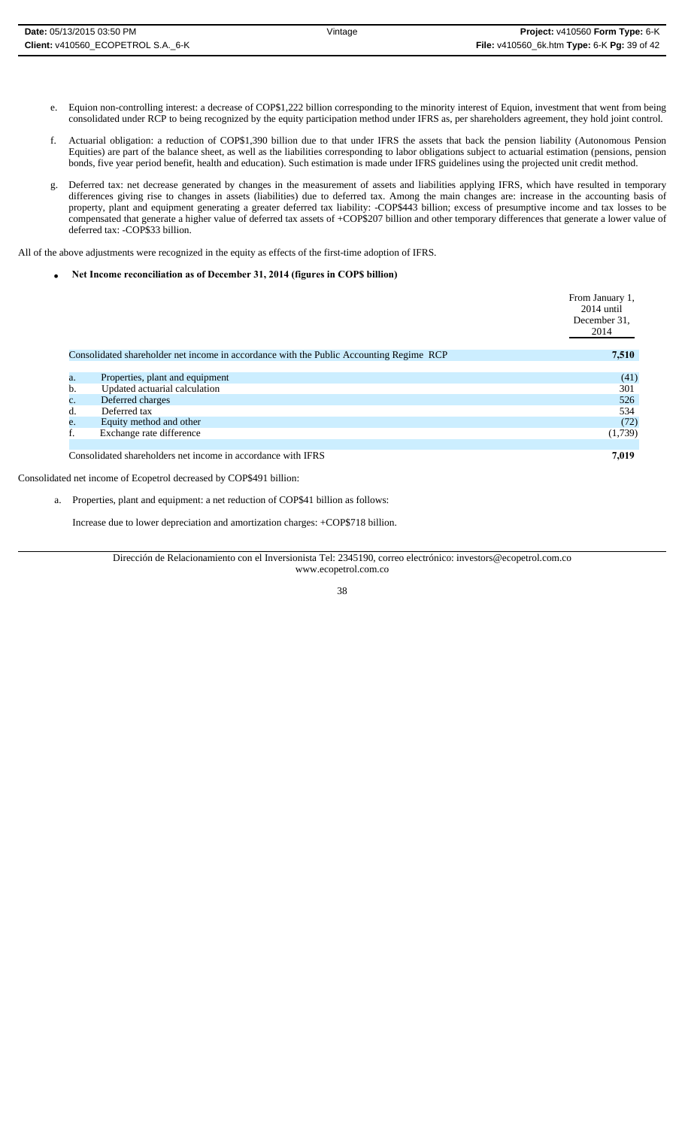- e. Equion non-controlling interest: a decrease of COP\$1,222 billion corresponding to the minority interest of Equion, investment that went from being consolidated under RCP to being recognized by the equity participation method under IFRS as, per shareholders agreement, they hold joint control.
- f. Actuarial obligation: a reduction of COP\$1,390 billion due to that under IFRS the assets that back the pension liability (Autonomous Pension Equities) are part of the balance sheet, as well as the liabilities corresponding to labor obligations subject to actuarial estimation (pensions, pension bonds, five year period benefit, health and education). Such estimation is made under IFRS guidelines using the projected unit credit method.
- g. Deferred tax: net decrease generated by changes in the measurement of assets and liabilities applying IFRS, which have resulted in temporary differences giving rise to changes in assets (liabilities) due to deferred tax. Among the main changes are: increase in the accounting basis of property, plant and equipment generating a greater deferred tax liability: -COP\$443 billion; excess of presumptive income and tax losses to be compensated that generate a higher value of deferred tax assets of +COP\$207 billion and other temporary differences that generate a lower value of deferred tax: -COP\$33 billion.

All of the above adjustments were recognized in the equity as effects of the first-time adoption of IFRS.

**Net Income reconciliation as of December 31, 2014 (figures in COP\$ billion)** 

|                |                                                                                         | From January 1,<br>$2014$ until<br>December 31.<br>2014 |
|----------------|-----------------------------------------------------------------------------------------|---------------------------------------------------------|
|                | Consolidated shareholder net income in accordance with the Public Accounting Regime RCP | 7,510                                                   |
|                |                                                                                         |                                                         |
| a.             | Properties, plant and equipment                                                         | (41)                                                    |
| b.             | Updated actuarial calculation                                                           | 301                                                     |
| $\mathbf{c}$ . | Deferred charges                                                                        | 526                                                     |
| d.             | Deferred tax                                                                            | 534                                                     |
| e.             | Equity method and other                                                                 | (72)                                                    |
|                | Exchange rate difference                                                                | (1,739)                                                 |
|                |                                                                                         |                                                         |
|                | Consolidated shareholders net income in accordance with IFRS                            | 7,019                                                   |

Consolidated net income of Ecopetrol decreased by COP\$491 billion:

a. Properties, plant and equipment: a net reduction of COP\$41 billion as follows:

Increase due to lower depreciation and amortization charges: +COP\$718 billion.

Dirección de Relacionamiento con el Inversionista Tel: 2345190, correo electrónico: investors@ecopetrol.com.co www.ecopetrol.com.co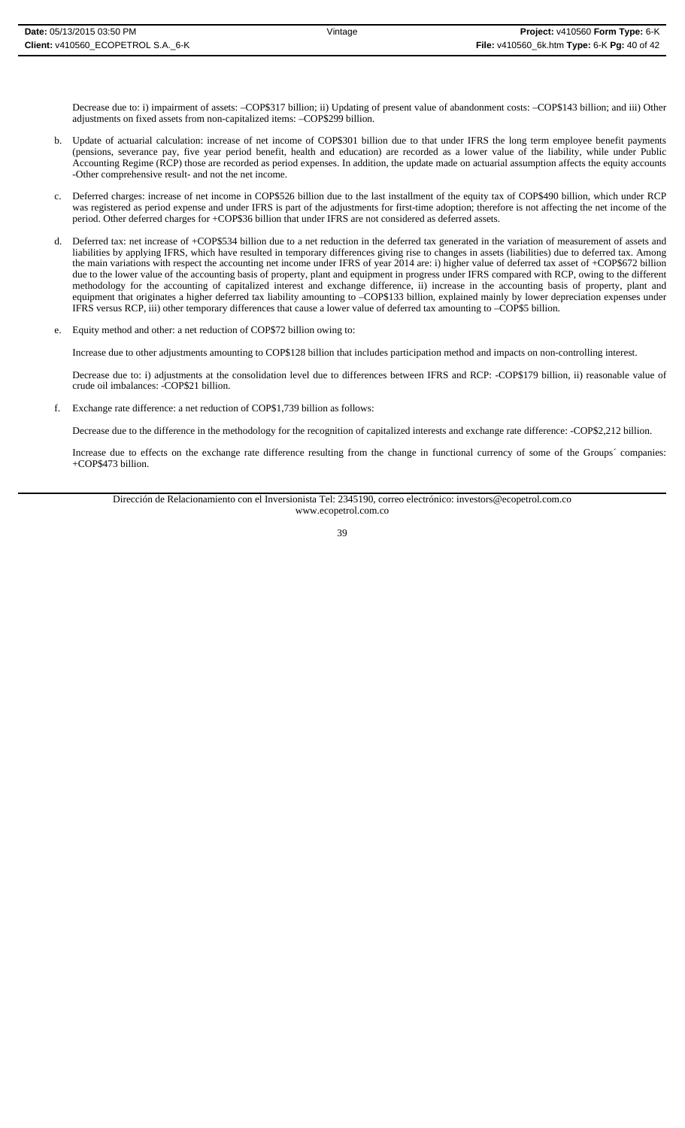Decrease due to: i) impairment of assets: –COP\$317 billion; ii) Updating of present value of abandonment costs: –COP\$143 billion; and iii) Other adjustments on fixed assets from non-capitalized items: –COP\$299 billion.

- b. Update of actuarial calculation: increase of net income of COP\$301 billion due to that under IFRS the long term employee benefit payments (pensions, severance pay, five year period benefit, health and education) are recorded as a lower value of the liability, while under Public Accounting Regime (RCP) those are recorded as period expenses. In addition, the update made on actuarial assumption affects the equity accounts -Other comprehensive result- and not the net income.
- c. Deferred charges: increase of net income in COP\$526 billion due to the last installment of the equity tax of COP\$490 billion, which under RCP was registered as period expense and under IFRS is part of the adjustments for first-time adoption; therefore is not affecting the net income of the period. Other deferred charges for +COP\$36 billion that under IFRS are not considered as deferred assets.
- d. Deferred tax: net increase of +COP\$534 billion due to a net reduction in the deferred tax generated in the variation of measurement of assets and liabilities by applying IFRS, which have resulted in temporary differences giving rise to changes in assets (liabilities) due to deferred tax. Among the main variations with respect the accounting net income under IFRS of year 2014 are: i) higher value of deferred tax asset of +COP\$672 billion due to the lower value of the accounting basis of property, plant and equipment in progress under IFRS compared with RCP, owing to the different methodology for the accounting of capitalized interest and exchange difference, ii) increase in the accounting basis of property, plant and equipment that originates a higher deferred tax liability amounting to –COP\$133 billion, explained mainly by lower depreciation expenses under IFRS versus RCP, iii) other temporary differences that cause a lower value of deferred tax amounting to –COP\$5 billion.
- e. Equity method and other: a net reduction of COP\$72 billion owing to:

Increase due to other adjustments amounting to COP\$128 billion that includes participation method and impacts on non-controlling interest.

Decrease due to: i) adjustments at the consolidation level due to differences between IFRS and RCP: -COP\$179 billion, ii) reasonable value of crude oil imbalances: -COP\$21 billion.

f. Exchange rate difference: a net reduction of COP\$1,739 billion as follows:

Decrease due to the difference in the methodology for the recognition of capitalized interests and exchange rate difference: -COP\$2,212 billion.

Increase due to effects on the exchange rate difference resulting from the change in functional currency of some of the Groups´ companies: +COP\$473 billion.

Dirección de Relacionamiento con el Inversionista Tel: 2345190, correo electrónico: investors@ecopetrol.com.co www.ecopetrol.com.co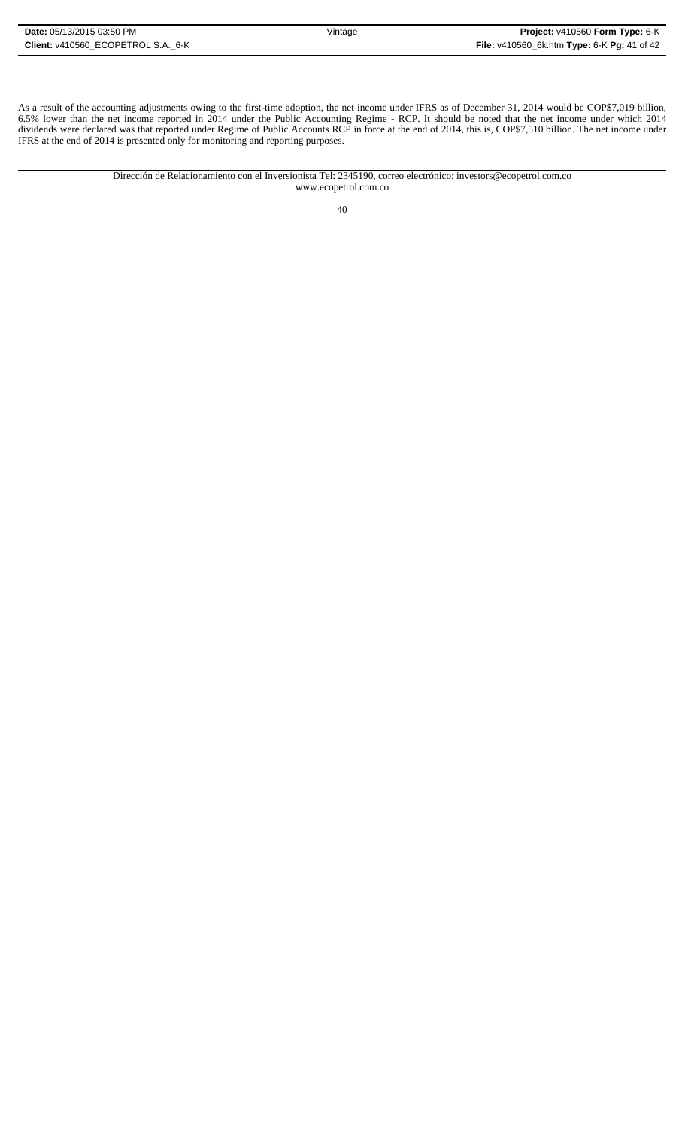As a result of the accounting adjustments owing to the first-time adoption, the net income under IFRS as of December 31, 2014 would be COP\$7,019 billion, 6.5% lower than the net income reported in 2014 under the Public Accounting Regime - RCP. It should be noted that the net income under which 2014 dividends were declared was that reported under Regime of Public Accounts RCP in force at the end of 2014, this is, COP\$7,510 billion. The net income under IFRS at the end of 2014 is presented only for monitoring and reporting purposes.